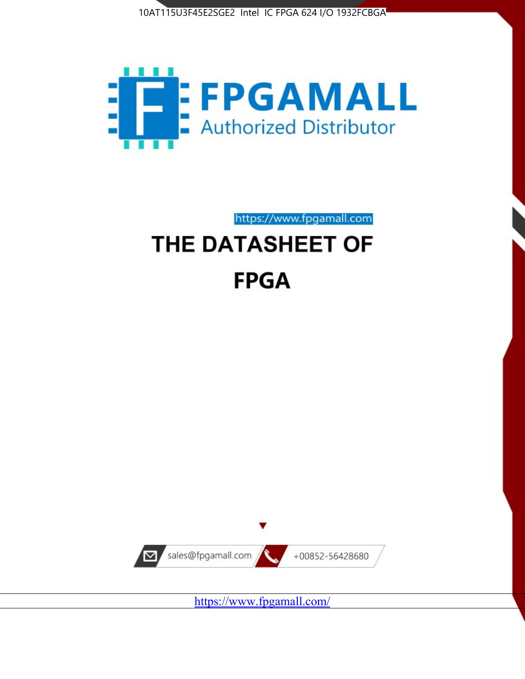



https://www.fpgamall.com

# THE DATASHEET OF **FPGA**



<https://www.fpgamall.com/>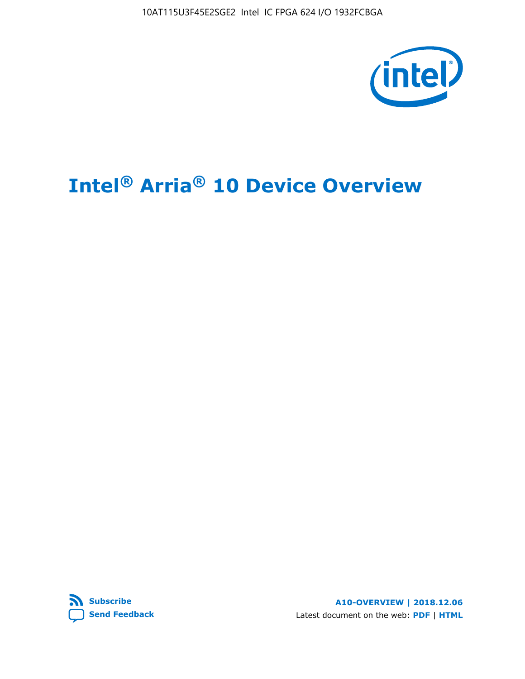10AT115U3F45E2SGE2 Intel IC FPGA 624 I/O 1932FCBGA



# **Intel® Arria® 10 Device Overview**



**A10-OVERVIEW | 2018.12.06** Latest document on the web: **[PDF](https://www.intel.com/content/dam/www/programmable/us/en/pdfs/literature/hb/arria-10/a10_overview.pdf)** | **[HTML](https://www.intel.com/content/www/us/en/programmable/documentation/sam1403480274650.html)**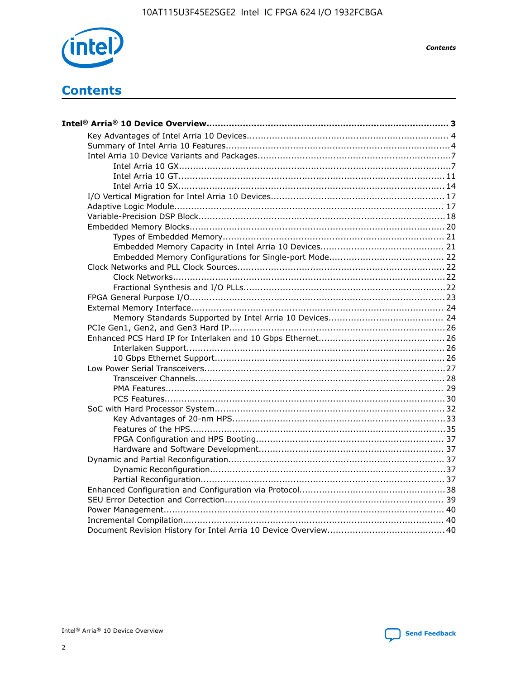

**Contents** 

# **Contents**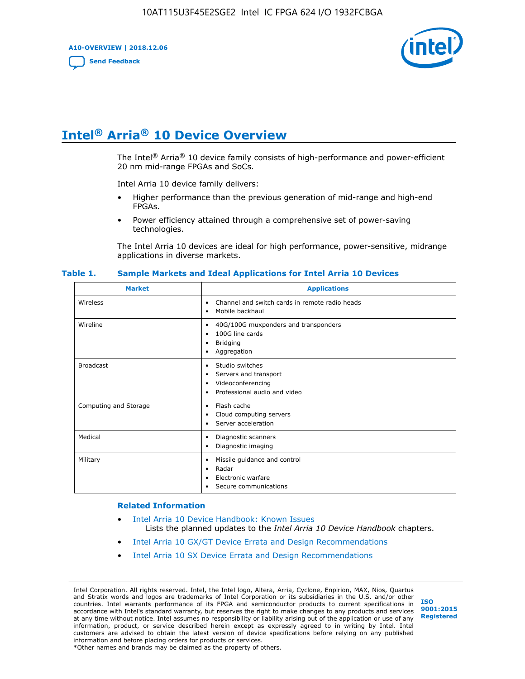**A10-OVERVIEW | 2018.12.06**

**[Send Feedback](mailto:FPGAtechdocfeedback@intel.com?subject=Feedback%20on%20Intel%20Arria%2010%20Device%20Overview%20(A10-OVERVIEW%202018.12.06)&body=We%20appreciate%20your%20feedback.%20In%20your%20comments,%20also%20specify%20the%20page%20number%20or%20paragraph.%20Thank%20you.)**



# **Intel® Arria® 10 Device Overview**

The Intel<sup>®</sup> Arria<sup>®</sup> 10 device family consists of high-performance and power-efficient 20 nm mid-range FPGAs and SoCs.

Intel Arria 10 device family delivers:

- Higher performance than the previous generation of mid-range and high-end FPGAs.
- Power efficiency attained through a comprehensive set of power-saving technologies.

The Intel Arria 10 devices are ideal for high performance, power-sensitive, midrange applications in diverse markets.

| <b>Market</b>         | <b>Applications</b>                                                                                               |
|-----------------------|-------------------------------------------------------------------------------------------------------------------|
| Wireless              | Channel and switch cards in remote radio heads<br>٠<br>Mobile backhaul<br>٠                                       |
| Wireline              | 40G/100G muxponders and transponders<br>٠<br>100G line cards<br>٠<br><b>Bridging</b><br>٠<br>Aggregation<br>٠     |
| <b>Broadcast</b>      | Studio switches<br>٠<br>Servers and transport<br>٠<br>Videoconferencing<br>٠<br>Professional audio and video<br>٠ |
| Computing and Storage | Flash cache<br>٠<br>Cloud computing servers<br>٠<br>Server acceleration<br>٠                                      |
| Medical               | Diagnostic scanners<br>٠<br>Diagnostic imaging<br>٠                                                               |
| Military              | Missile guidance and control<br>٠<br>Radar<br>٠<br>Electronic warfare<br>٠<br>Secure communications<br>٠          |

#### **Table 1. Sample Markets and Ideal Applications for Intel Arria 10 Devices**

#### **Related Information**

- [Intel Arria 10 Device Handbook: Known Issues](http://www.altera.com/support/kdb/solutions/rd07302013_646.html) Lists the planned updates to the *Intel Arria 10 Device Handbook* chapters.
- [Intel Arria 10 GX/GT Device Errata and Design Recommendations](https://www.intel.com/content/www/us/en/programmable/documentation/agz1493851706374.html#yqz1494433888646)
- [Intel Arria 10 SX Device Errata and Design Recommendations](https://www.intel.com/content/www/us/en/programmable/documentation/cru1462832385668.html#cru1462832558642)

Intel Corporation. All rights reserved. Intel, the Intel logo, Altera, Arria, Cyclone, Enpirion, MAX, Nios, Quartus and Stratix words and logos are trademarks of Intel Corporation or its subsidiaries in the U.S. and/or other countries. Intel warrants performance of its FPGA and semiconductor products to current specifications in accordance with Intel's standard warranty, but reserves the right to make changes to any products and services at any time without notice. Intel assumes no responsibility or liability arising out of the application or use of any information, product, or service described herein except as expressly agreed to in writing by Intel. Intel customers are advised to obtain the latest version of device specifications before relying on any published information and before placing orders for products or services. \*Other names and brands may be claimed as the property of others.

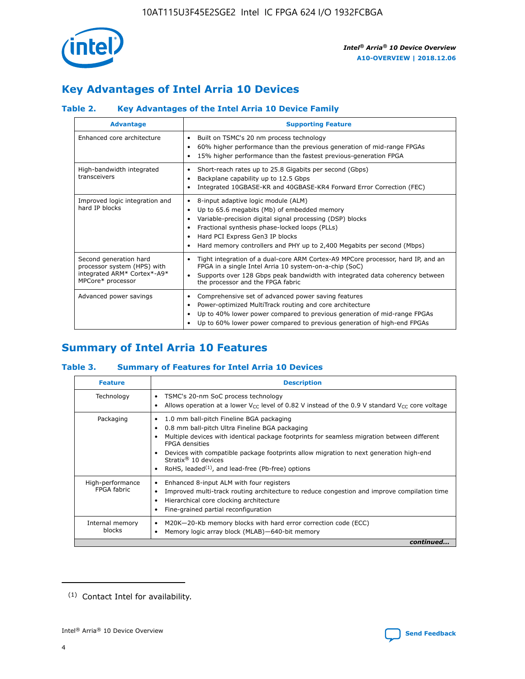

# **Key Advantages of Intel Arria 10 Devices**

## **Table 2. Key Advantages of the Intel Arria 10 Device Family**

| <b>Advantage</b>                                                                                          | <b>Supporting Feature</b>                                                                                                                                                                                                                                                                                                |
|-----------------------------------------------------------------------------------------------------------|--------------------------------------------------------------------------------------------------------------------------------------------------------------------------------------------------------------------------------------------------------------------------------------------------------------------------|
| Enhanced core architecture                                                                                | Built on TSMC's 20 nm process technology<br>٠<br>60% higher performance than the previous generation of mid-range FPGAs<br>٠<br>15% higher performance than the fastest previous-generation FPGA<br>٠                                                                                                                    |
| High-bandwidth integrated<br>transceivers                                                                 | Short-reach rates up to 25.8 Gigabits per second (Gbps)<br>٠<br>Backplane capability up to 12.5 Gbps<br>٠<br>Integrated 10GBASE-KR and 40GBASE-KR4 Forward Error Correction (FEC)<br>٠                                                                                                                                   |
| Improved logic integration and<br>hard IP blocks                                                          | 8-input adaptive logic module (ALM)<br>٠<br>Up to 65.6 megabits (Mb) of embedded memory<br>٠<br>Variable-precision digital signal processing (DSP) blocks<br>Fractional synthesis phase-locked loops (PLLs)<br>Hard PCI Express Gen3 IP blocks<br>Hard memory controllers and PHY up to 2,400 Megabits per second (Mbps) |
| Second generation hard<br>processor system (HPS) with<br>integrated ARM* Cortex*-A9*<br>MPCore* processor | Tight integration of a dual-core ARM Cortex-A9 MPCore processor, hard IP, and an<br>٠<br>FPGA in a single Intel Arria 10 system-on-a-chip (SoC)<br>Supports over 128 Gbps peak bandwidth with integrated data coherency between<br>$\bullet$<br>the processor and the FPGA fabric                                        |
| Advanced power savings                                                                                    | Comprehensive set of advanced power saving features<br>٠<br>Power-optimized MultiTrack routing and core architecture<br>٠<br>Up to 40% lower power compared to previous generation of mid-range FPGAs<br>Up to 60% lower power compared to previous generation of high-end FPGAs                                         |

# **Summary of Intel Arria 10 Features**

## **Table 3. Summary of Features for Intel Arria 10 Devices**

| <b>Feature</b>                  | <b>Description</b>                                                                                                                                                                                                                                                                                                                                                                                       |
|---------------------------------|----------------------------------------------------------------------------------------------------------------------------------------------------------------------------------------------------------------------------------------------------------------------------------------------------------------------------------------------------------------------------------------------------------|
| Technology                      | TSMC's 20-nm SoC process technology<br>٠<br>Allows operation at a lower $V_{\text{CC}}$ level of 0.82 V instead of the 0.9 V standard $V_{\text{CC}}$ core voltage                                                                                                                                                                                                                                       |
| Packaging                       | 1.0 mm ball-pitch Fineline BGA packaging<br>0.8 mm ball-pitch Ultra Fineline BGA packaging<br>Multiple devices with identical package footprints for seamless migration between different<br><b>FPGA</b> densities<br>Devices with compatible package footprints allow migration to next generation high-end<br>Stratix $\mathcal{R}$ 10 devices<br>RoHS, leaded $(1)$ , and lead-free (Pb-free) options |
| High-performance<br>FPGA fabric | Enhanced 8-input ALM with four registers<br>٠<br>Improved multi-track routing architecture to reduce congestion and improve compilation time<br>Hierarchical core clocking architecture<br>Fine-grained partial reconfiguration                                                                                                                                                                          |
| Internal memory<br>blocks       | M20K-20-Kb memory blocks with hard error correction code (ECC)<br>Memory logic array block (MLAB)-640-bit memory                                                                                                                                                                                                                                                                                         |
|                                 | continued                                                                                                                                                                                                                                                                                                                                                                                                |



<sup>(1)</sup> Contact Intel for availability.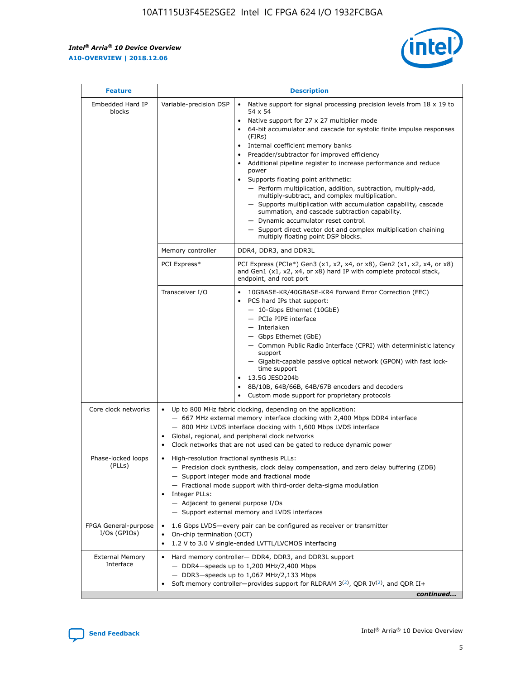r



| <b>Feature</b>                         |                                                                                                                                                                                                                                                                                                                      | <b>Description</b>                                                                                                                                                                                                                                                                                                                                                                                                                                                                                                                                                                                                                                                                                                                                                                                                                     |  |  |  |  |
|----------------------------------------|----------------------------------------------------------------------------------------------------------------------------------------------------------------------------------------------------------------------------------------------------------------------------------------------------------------------|----------------------------------------------------------------------------------------------------------------------------------------------------------------------------------------------------------------------------------------------------------------------------------------------------------------------------------------------------------------------------------------------------------------------------------------------------------------------------------------------------------------------------------------------------------------------------------------------------------------------------------------------------------------------------------------------------------------------------------------------------------------------------------------------------------------------------------------|--|--|--|--|
| Embedded Hard IP<br>blocks             | Variable-precision DSP                                                                                                                                                                                                                                                                                               | Native support for signal processing precision levels from $18 \times 19$ to<br>54 x 54<br>Native support for 27 x 27 multiplier mode<br>64-bit accumulator and cascade for systolic finite impulse responses<br>(FIRs)<br>Internal coefficient memory banks<br>$\bullet$<br>Preadder/subtractor for improved efficiency<br>Additional pipeline register to increase performance and reduce<br>power<br>Supports floating point arithmetic:<br>- Perform multiplication, addition, subtraction, multiply-add,<br>multiply-subtract, and complex multiplication.<br>- Supports multiplication with accumulation capability, cascade<br>summation, and cascade subtraction capability.<br>- Dynamic accumulator reset control.<br>- Support direct vector dot and complex multiplication chaining<br>multiply floating point DSP blocks. |  |  |  |  |
|                                        | Memory controller                                                                                                                                                                                                                                                                                                    | DDR4, DDR3, and DDR3L                                                                                                                                                                                                                                                                                                                                                                                                                                                                                                                                                                                                                                                                                                                                                                                                                  |  |  |  |  |
|                                        | PCI Express*                                                                                                                                                                                                                                                                                                         | PCI Express (PCIe*) Gen3 (x1, x2, x4, or x8), Gen2 (x1, x2, x4, or x8)<br>and Gen1 (x1, x2, x4, or x8) hard IP with complete protocol stack,<br>endpoint, and root port                                                                                                                                                                                                                                                                                                                                                                                                                                                                                                                                                                                                                                                                |  |  |  |  |
|                                        | Transceiver I/O                                                                                                                                                                                                                                                                                                      | 10GBASE-KR/40GBASE-KR4 Forward Error Correction (FEC)<br>PCS hard IPs that support:<br>$\bullet$<br>- 10-Gbps Ethernet (10GbE)<br>- PCIe PIPE interface<br>$-$ Interlaken<br>- Gbps Ethernet (GbE)<br>- Common Public Radio Interface (CPRI) with deterministic latency<br>support<br>- Gigabit-capable passive optical network (GPON) with fast lock-<br>time support<br>13.5G JESD204b<br>$\bullet$<br>8B/10B, 64B/66B, 64B/67B encoders and decoders<br>Custom mode support for proprietary protocols                                                                                                                                                                                                                                                                                                                               |  |  |  |  |
| Core clock networks                    | $\bullet$<br>$\bullet$                                                                                                                                                                                                                                                                                               | Up to 800 MHz fabric clocking, depending on the application:<br>- 667 MHz external memory interface clocking with 2,400 Mbps DDR4 interface<br>- 800 MHz LVDS interface clocking with 1,600 Mbps LVDS interface<br>Global, regional, and peripheral clock networks<br>Clock networks that are not used can be gated to reduce dynamic power                                                                                                                                                                                                                                                                                                                                                                                                                                                                                            |  |  |  |  |
| Phase-locked loops<br>(PLLs)           | High-resolution fractional synthesis PLLs:<br>$\bullet$<br>Integer PLLs:<br>- Adjacent to general purpose I/Os                                                                                                                                                                                                       | - Precision clock synthesis, clock delay compensation, and zero delay buffering (ZDB)<br>- Support integer mode and fractional mode<br>- Fractional mode support with third-order delta-sigma modulation<br>- Support external memory and LVDS interfaces                                                                                                                                                                                                                                                                                                                                                                                                                                                                                                                                                                              |  |  |  |  |
| FPGA General-purpose<br>$I/Os$ (GPIOs) | On-chip termination (OCT)                                                                                                                                                                                                                                                                                            | 1.6 Gbps LVDS-every pair can be configured as receiver or transmitter                                                                                                                                                                                                                                                                                                                                                                                                                                                                                                                                                                                                                                                                                                                                                                  |  |  |  |  |
| <b>External Memory</b><br>Interface    | 1.2 V to 3.0 V single-ended LVTTL/LVCMOS interfacing<br>Hard memory controller- DDR4, DDR3, and DDR3L support<br>$-$ DDR4-speeds up to 1,200 MHz/2,400 Mbps<br>- DDR3-speeds up to 1,067 MHz/2,133 Mbps<br>Soft memory controller—provides support for RLDRAM $3^{(2)}$ , QDR IV $^{(2)}$ , and QDR II+<br>continued |                                                                                                                                                                                                                                                                                                                                                                                                                                                                                                                                                                                                                                                                                                                                                                                                                                        |  |  |  |  |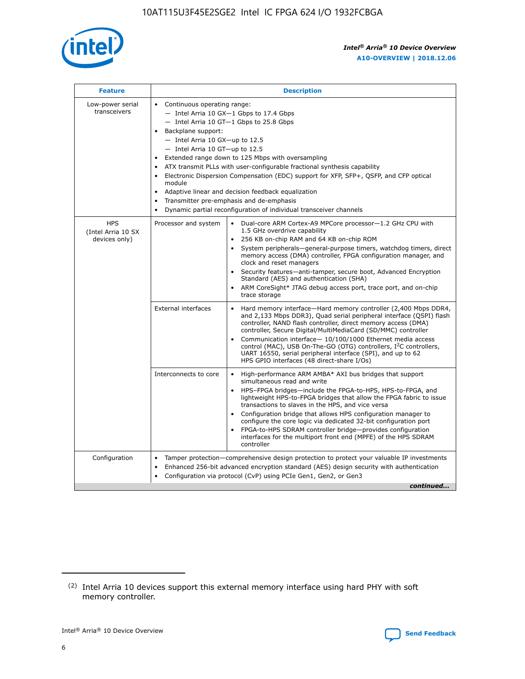

| <b>Feature</b>                                    | <b>Description</b>                                                                                                                                                                                                                                                                                                                                                                                                                                                                                                                                                                                                                           |
|---------------------------------------------------|----------------------------------------------------------------------------------------------------------------------------------------------------------------------------------------------------------------------------------------------------------------------------------------------------------------------------------------------------------------------------------------------------------------------------------------------------------------------------------------------------------------------------------------------------------------------------------------------------------------------------------------------|
| Low-power serial<br>transceivers                  | • Continuous operating range:<br>- Intel Arria 10 GX-1 Gbps to 17.4 Gbps<br>- Intel Arria 10 GT-1 Gbps to 25.8 Gbps<br>Backplane support:<br>$-$ Intel Arria 10 GX-up to 12.5<br>$-$ Intel Arria 10 GT-up to 12.5<br>Extended range down to 125 Mbps with oversampling<br>ATX transmit PLLs with user-configurable fractional synthesis capability<br>Electronic Dispersion Compensation (EDC) support for XFP, SFP+, QSFP, and CFP optical<br>module<br>• Adaptive linear and decision feedback equalization<br>Transmitter pre-emphasis and de-emphasis<br>$\bullet$<br>Dynamic partial reconfiguration of individual transceiver channels |
| <b>HPS</b><br>(Intel Arria 10 SX<br>devices only) | Dual-core ARM Cortex-A9 MPCore processor-1.2 GHz CPU with<br>Processor and system<br>$\bullet$<br>1.5 GHz overdrive capability<br>256 KB on-chip RAM and 64 KB on-chip ROM<br>System peripherals-general-purpose timers, watchdog timers, direct<br>memory access (DMA) controller, FPGA configuration manager, and<br>clock and reset managers<br>Security features-anti-tamper, secure boot, Advanced Encryption<br>$\bullet$<br>Standard (AES) and authentication (SHA)<br>ARM CoreSight* JTAG debug access port, trace port, and on-chip<br>trace storage                                                                                |
|                                                   | <b>External interfaces</b><br>Hard memory interface-Hard memory controller (2,400 Mbps DDR4,<br>$\bullet$<br>and 2,133 Mbps DDR3), Quad serial peripheral interface (QSPI) flash<br>controller, NAND flash controller, direct memory access (DMA)<br>controller, Secure Digital/MultiMediaCard (SD/MMC) controller<br>Communication interface-10/100/1000 Ethernet media access<br>$\bullet$<br>control (MAC), USB On-The-GO (OTG) controllers, I <sup>2</sup> C controllers,<br>UART 16550, serial peripheral interface (SPI), and up to 62<br>HPS GPIO interfaces (48 direct-share I/Os)                                                   |
|                                                   | High-performance ARM AMBA* AXI bus bridges that support<br>Interconnects to core<br>$\bullet$<br>simultaneous read and write<br>HPS-FPGA bridges-include the FPGA-to-HPS, HPS-to-FPGA, and<br>$\bullet$<br>lightweight HPS-to-FPGA bridges that allow the FPGA fabric to issue<br>transactions to slaves in the HPS, and vice versa<br>Configuration bridge that allows HPS configuration manager to<br>configure the core logic via dedicated 32-bit configuration port<br>FPGA-to-HPS SDRAM controller bridge-provides configuration<br>interfaces for the multiport front end (MPFE) of the HPS SDRAM<br>controller                       |
| Configuration                                     | Tamper protection—comprehensive design protection to protect your valuable IP investments<br>Enhanced 256-bit advanced encryption standard (AES) design security with authentication<br>٠<br>Configuration via protocol (CvP) using PCIe Gen1, Gen2, or Gen3<br>continued                                                                                                                                                                                                                                                                                                                                                                    |

<sup>(2)</sup> Intel Arria 10 devices support this external memory interface using hard PHY with soft memory controller.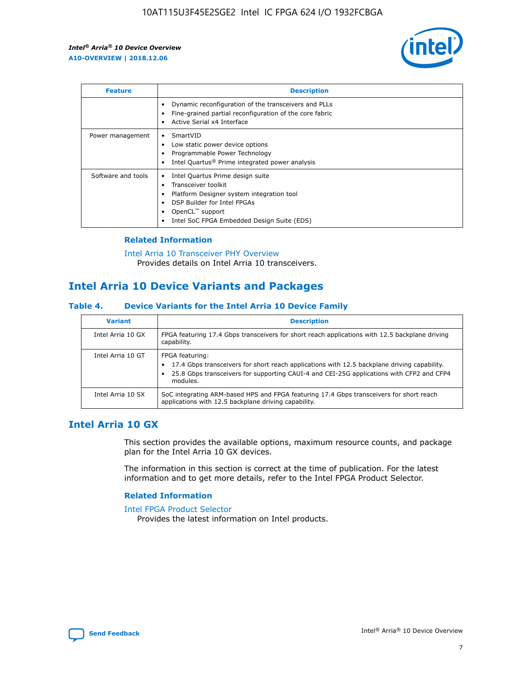

| <b>Feature</b>     | <b>Description</b>                                                                                                                                                                                               |
|--------------------|------------------------------------------------------------------------------------------------------------------------------------------------------------------------------------------------------------------|
|                    | Dynamic reconfiguration of the transceivers and PLLs<br>Fine-grained partial reconfiguration of the core fabric<br>Active Serial x4 Interface<br>$\bullet$                                                       |
| Power management   | SmartVID<br>Low static power device options<br>Programmable Power Technology<br>Intel Quartus <sup>®</sup> Prime integrated power analysis                                                                       |
| Software and tools | Intel Quartus Prime design suite<br>Transceiver toolkit<br>Platform Designer system integration tool<br>DSP Builder for Intel FPGAs<br>OpenCL <sup>™</sup> support<br>Intel SoC FPGA Embedded Design Suite (EDS) |

## **Related Information**

[Intel Arria 10 Transceiver PHY Overview](https://www.intel.com/content/www/us/en/programmable/documentation/nik1398707230472.html#nik1398706768037) Provides details on Intel Arria 10 transceivers.

## **Intel Arria 10 Device Variants and Packages**

#### **Table 4. Device Variants for the Intel Arria 10 Device Family**

| <b>Variant</b>    | <b>Description</b>                                                                                                                                                                                                     |
|-------------------|------------------------------------------------------------------------------------------------------------------------------------------------------------------------------------------------------------------------|
| Intel Arria 10 GX | FPGA featuring 17.4 Gbps transceivers for short reach applications with 12.5 backplane driving<br>capability.                                                                                                          |
| Intel Arria 10 GT | FPGA featuring:<br>17.4 Gbps transceivers for short reach applications with 12.5 backplane driving capability.<br>25.8 Gbps transceivers for supporting CAUI-4 and CEI-25G applications with CFP2 and CFP4<br>modules. |
| Intel Arria 10 SX | SoC integrating ARM-based HPS and FPGA featuring 17.4 Gbps transceivers for short reach<br>applications with 12.5 backplane driving capability.                                                                        |

## **Intel Arria 10 GX**

This section provides the available options, maximum resource counts, and package plan for the Intel Arria 10 GX devices.

The information in this section is correct at the time of publication. For the latest information and to get more details, refer to the Intel FPGA Product Selector.

#### **Related Information**

#### [Intel FPGA Product Selector](http://www.altera.com/products/selector/psg-selector.html) Provides the latest information on Intel products.

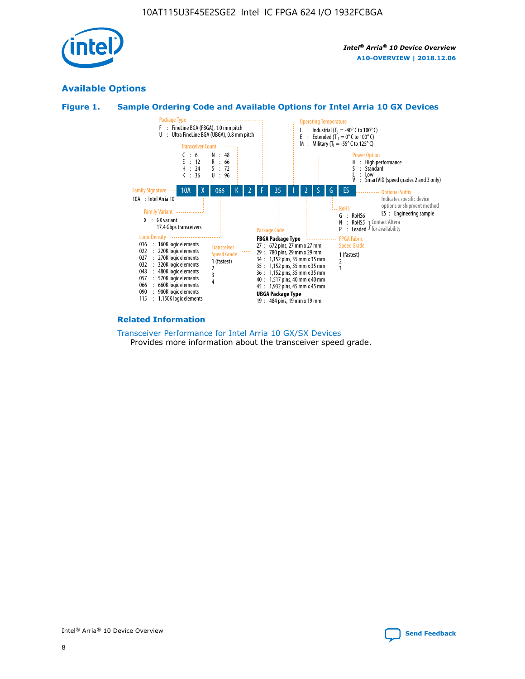

## **Available Options**





#### **Related Information**

[Transceiver Performance for Intel Arria 10 GX/SX Devices](https://www.intel.com/content/www/us/en/programmable/documentation/mcn1413182292568.html#mcn1413213965502) Provides more information about the transceiver speed grade.

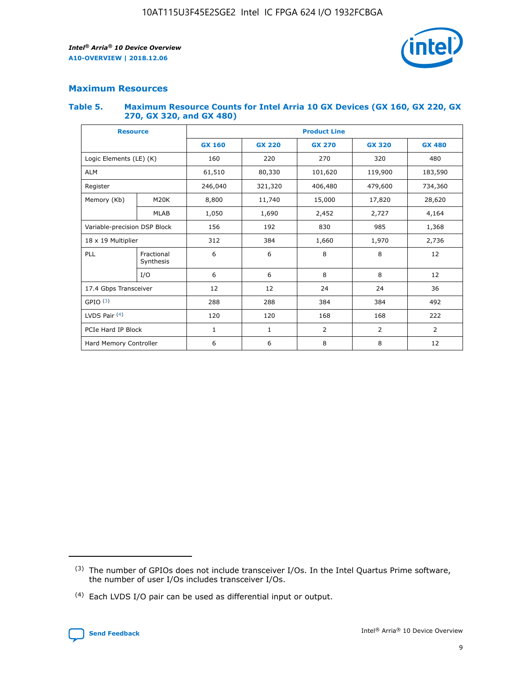

## **Maximum Resources**

#### **Table 5. Maximum Resource Counts for Intel Arria 10 GX Devices (GX 160, GX 220, GX 270, GX 320, and GX 480)**

| <b>Resource</b>              |                         | <b>Product Line</b> |                                                 |                |                |                |  |  |  |
|------------------------------|-------------------------|---------------------|-------------------------------------------------|----------------|----------------|----------------|--|--|--|
|                              |                         | <b>GX 160</b>       | <b>GX 220</b><br><b>GX 270</b><br><b>GX 320</b> |                |                | <b>GX 480</b>  |  |  |  |
| Logic Elements (LE) (K)      |                         | 160                 | 220                                             | 270            | 320            | 480            |  |  |  |
| <b>ALM</b>                   |                         | 61,510              | 80,330                                          | 101,620        | 119,900        | 183,590        |  |  |  |
| Register                     |                         | 246,040             | 479,600<br>321,320<br>406,480                   |                |                | 734,360        |  |  |  |
| Memory (Kb)                  | M <sub>20</sub> K       | 8,800               | 11,740<br>15,000                                |                | 17,820         | 28,620         |  |  |  |
|                              | <b>MLAB</b>             | 1,050               | 1,690                                           | 2,452          | 2,727          | 4,164          |  |  |  |
| Variable-precision DSP Block |                         | 156                 | 192                                             | 830            | 985            | 1,368          |  |  |  |
| 18 x 19 Multiplier           |                         | 312                 | 384                                             | 1,970<br>1,660 |                | 2,736          |  |  |  |
| PLL                          | Fractional<br>Synthesis | 6                   | 6                                               | 8              | 8              | 12             |  |  |  |
|                              | I/O                     | 6                   | 6                                               | 8              | 8              | 12             |  |  |  |
| 17.4 Gbps Transceiver        |                         | 12                  | 12                                              | 24             | 24             | 36             |  |  |  |
| GPIO <sup>(3)</sup>          |                         | 288                 | 288                                             | 384            | 384            |                |  |  |  |
| LVDS Pair $(4)$              |                         | 120                 | 120                                             | 168            | 168            | 222            |  |  |  |
| PCIe Hard IP Block           |                         | $\mathbf{1}$        | 1                                               | $\overline{2}$ | $\overline{2}$ | $\overline{2}$ |  |  |  |
| Hard Memory Controller       |                         | 6                   | 6                                               | 8              | 8              | 12             |  |  |  |

<sup>(4)</sup> Each LVDS I/O pair can be used as differential input or output.



<sup>(3)</sup> The number of GPIOs does not include transceiver I/Os. In the Intel Quartus Prime software, the number of user I/Os includes transceiver I/Os.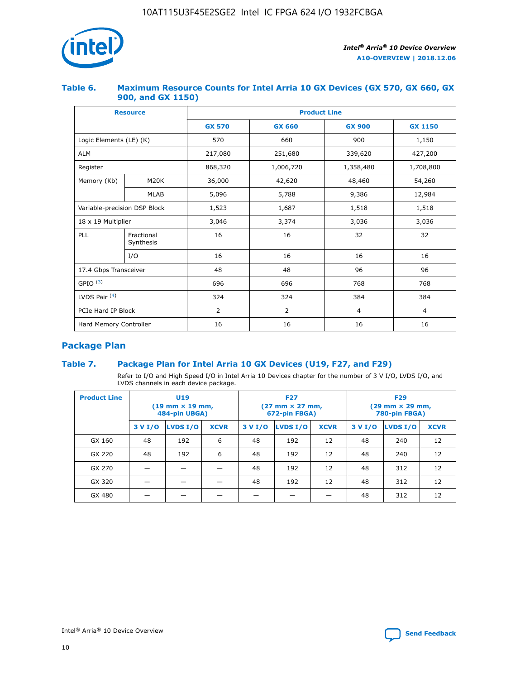

## **Table 6. Maximum Resource Counts for Intel Arria 10 GX Devices (GX 570, GX 660, GX 900, and GX 1150)**

|                              | <b>Resource</b>         | <b>Product Line</b> |                        |                |                |  |  |  |
|------------------------------|-------------------------|---------------------|------------------------|----------------|----------------|--|--|--|
|                              |                         | <b>GX 570</b>       | <b>GX 660</b>          | <b>GX 900</b>  | <b>GX 1150</b> |  |  |  |
| Logic Elements (LE) (K)      |                         | 570                 | 660                    | 900            | 1,150          |  |  |  |
| <b>ALM</b>                   |                         | 217,080             | 251,680                | 339,620        | 427,200        |  |  |  |
| Register                     |                         | 868,320             | 1,006,720<br>1,358,480 |                | 1,708,800      |  |  |  |
| Memory (Kb)                  | <b>M20K</b>             | 36,000              | 42,620                 | 48,460         | 54,260         |  |  |  |
|                              | <b>MLAB</b>             | 5,096               | 5,788                  | 9,386          | 12,984         |  |  |  |
| Variable-precision DSP Block |                         | 1,523               | 1,687                  | 1,518          | 1,518          |  |  |  |
| $18 \times 19$ Multiplier    |                         | 3,046               | 3,374                  | 3,036          | 3,036          |  |  |  |
| PLL                          | Fractional<br>Synthesis | 16                  | 16                     | 32             | 32             |  |  |  |
|                              | I/O                     | 16                  | 16                     | 16             | 16             |  |  |  |
| 17.4 Gbps Transceiver        |                         | 48                  | 48<br>96               |                | 96             |  |  |  |
| GPIO <sup>(3)</sup>          |                         | 696                 | 696                    | 768            | 768            |  |  |  |
| LVDS Pair $(4)$              |                         | 324                 | 324                    | 384            | 384            |  |  |  |
| PCIe Hard IP Block           |                         | 2                   | $\overline{2}$         | $\overline{4}$ | $\overline{4}$ |  |  |  |
| Hard Memory Controller       |                         | 16                  | 16                     | 16             | 16             |  |  |  |

## **Package Plan**

## **Table 7. Package Plan for Intel Arria 10 GX Devices (U19, F27, and F29)**

Refer to I/O and High Speed I/O in Intel Arria 10 Devices chapter for the number of 3 V I/O, LVDS I/O, and LVDS channels in each device package.

| <b>Product Line</b> | <b>U19</b><br>$(19 \text{ mm} \times 19 \text{ mm})$<br>484-pin UBGA) |          |             |         | <b>F27</b><br>(27 mm × 27 mm,<br>672-pin FBGA) |             | <b>F29</b><br>(29 mm × 29 mm,<br>780-pin FBGA) |          |             |  |
|---------------------|-----------------------------------------------------------------------|----------|-------------|---------|------------------------------------------------|-------------|------------------------------------------------|----------|-------------|--|
|                     | 3 V I/O                                                               | LVDS I/O | <b>XCVR</b> | 3 V I/O | LVDS I/O                                       | <b>XCVR</b> | 3 V I/O                                        | LVDS I/O | <b>XCVR</b> |  |
| GX 160              | 48                                                                    | 192      | 6           | 48      | 192                                            | 12          | 48                                             | 240      | 12          |  |
| GX 220              | 48                                                                    | 192      | 6           | 48      | 192                                            | 12          | 48                                             | 240      | 12          |  |
| GX 270              |                                                                       |          |             | 48      | 192                                            | 12          | 48                                             | 312      | 12          |  |
| GX 320              |                                                                       |          |             | 48      | 192                                            | 12          | 48                                             | 312      | 12          |  |
| GX 480              |                                                                       |          |             |         |                                                |             | 48                                             | 312      | 12          |  |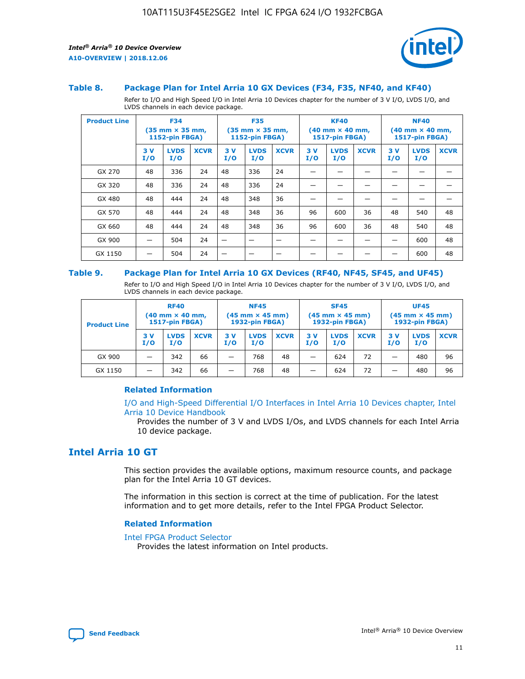

#### **Table 8. Package Plan for Intel Arria 10 GX Devices (F34, F35, NF40, and KF40)**

Refer to I/O and High Speed I/O in Intel Arria 10 Devices chapter for the number of 3 V I/O, LVDS I/O, and LVDS channels in each device package.

| <b>Product Line</b> | <b>F34</b><br>$(35 \text{ mm} \times 35 \text{ mm})$<br><b>1152-pin FBGA)</b> |                    | <b>F35</b><br>$(35 \text{ mm} \times 35 \text{ mm})$<br><b>1152-pin FBGA)</b> |           | <b>KF40</b><br>$(40$ mm $\times$ 40 mm,<br><b>1517-pin FBGA)</b> |             |           | <b>NF40</b><br>$(40 \text{ mm} \times 40 \text{ mm})$<br>1517-pin FBGA) |             |           |                    |             |
|---------------------|-------------------------------------------------------------------------------|--------------------|-------------------------------------------------------------------------------|-----------|------------------------------------------------------------------|-------------|-----------|-------------------------------------------------------------------------|-------------|-----------|--------------------|-------------|
|                     | 3V<br>I/O                                                                     | <b>LVDS</b><br>I/O | <b>XCVR</b>                                                                   | 3V<br>I/O | <b>LVDS</b><br>I/O                                               | <b>XCVR</b> | 3V<br>I/O | <b>LVDS</b><br>I/O                                                      | <b>XCVR</b> | 3V<br>I/O | <b>LVDS</b><br>I/O | <b>XCVR</b> |
| GX 270              | 48                                                                            | 336                | 24                                                                            | 48        | 336                                                              | 24          |           |                                                                         |             |           |                    |             |
| GX 320              | 48                                                                            | 336                | 24                                                                            | 48        | 336                                                              | 24          |           |                                                                         |             |           |                    |             |
| GX 480              | 48                                                                            | 444                | 24                                                                            | 48        | 348                                                              | 36          |           |                                                                         |             |           |                    |             |
| GX 570              | 48                                                                            | 444                | 24                                                                            | 48        | 348                                                              | 36          | 96        | 600                                                                     | 36          | 48        | 540                | 48          |
| GX 660              | 48                                                                            | 444                | 24                                                                            | 48        | 348                                                              | 36          | 96        | 600                                                                     | 36          | 48        | 540                | 48          |
| GX 900              |                                                                               | 504                | 24                                                                            | –         |                                                                  | -           |           |                                                                         |             |           | 600                | 48          |
| GX 1150             |                                                                               | 504                | 24                                                                            |           |                                                                  |             |           |                                                                         |             |           | 600                | 48          |

#### **Table 9. Package Plan for Intel Arria 10 GX Devices (RF40, NF45, SF45, and UF45)**

Refer to I/O and High Speed I/O in Intel Arria 10 Devices chapter for the number of 3 V I/O, LVDS I/O, and LVDS channels in each device package.

| <b>Product Line</b> | <b>RF40</b><br>$(40$ mm $\times$ 40 mm,<br>1517-pin FBGA) |                    |             | <b>NF45</b><br>$(45 \text{ mm} \times 45 \text{ mm})$<br><b>1932-pin FBGA)</b> |                    |             | <b>SF45</b><br>$(45 \text{ mm} \times 45 \text{ mm})$<br><b>1932-pin FBGA)</b> |                    |             | <b>UF45</b><br>$(45 \text{ mm} \times 45 \text{ mm})$<br><b>1932-pin FBGA)</b> |                    |             |
|---------------------|-----------------------------------------------------------|--------------------|-------------|--------------------------------------------------------------------------------|--------------------|-------------|--------------------------------------------------------------------------------|--------------------|-------------|--------------------------------------------------------------------------------|--------------------|-------------|
|                     | 3V<br>I/O                                                 | <b>LVDS</b><br>I/O | <b>XCVR</b> | 3 V<br>I/O                                                                     | <b>LVDS</b><br>I/O | <b>XCVR</b> | 3 V<br>I/O                                                                     | <b>LVDS</b><br>I/O | <b>XCVR</b> | 3V<br>I/O                                                                      | <b>LVDS</b><br>I/O | <b>XCVR</b> |
| GX 900              |                                                           | 342                | 66          | _                                                                              | 768                | 48          |                                                                                | 624                | 72          |                                                                                | 480                | 96          |
| GX 1150             |                                                           | 342                | 66          | _                                                                              | 768                | 48          |                                                                                | 624                | 72          |                                                                                | 480                | 96          |

### **Related Information**

[I/O and High-Speed Differential I/O Interfaces in Intel Arria 10 Devices chapter, Intel](https://www.intel.com/content/www/us/en/programmable/documentation/sam1403482614086.html#sam1403482030321) [Arria 10 Device Handbook](https://www.intel.com/content/www/us/en/programmable/documentation/sam1403482614086.html#sam1403482030321)

Provides the number of 3 V and LVDS I/Os, and LVDS channels for each Intel Arria 10 device package.

## **Intel Arria 10 GT**

This section provides the available options, maximum resource counts, and package plan for the Intel Arria 10 GT devices.

The information in this section is correct at the time of publication. For the latest information and to get more details, refer to the Intel FPGA Product Selector.

#### **Related Information**

#### [Intel FPGA Product Selector](http://www.altera.com/products/selector/psg-selector.html)

Provides the latest information on Intel products.

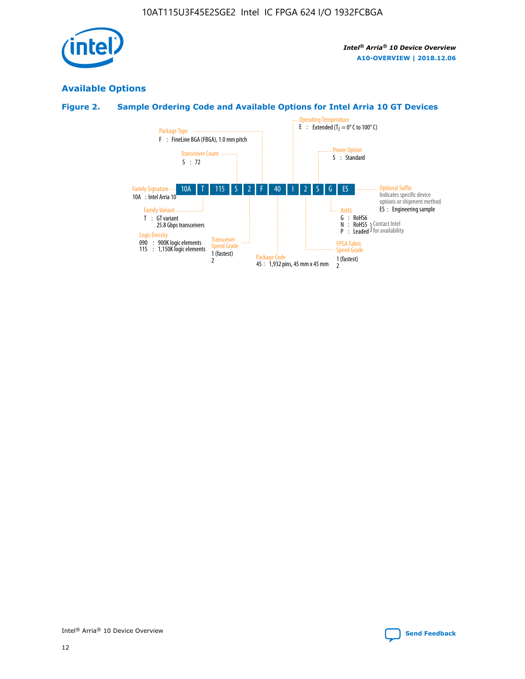

## **Available Options**

## **Figure 2. Sample Ordering Code and Available Options for Intel Arria 10 GT Devices**

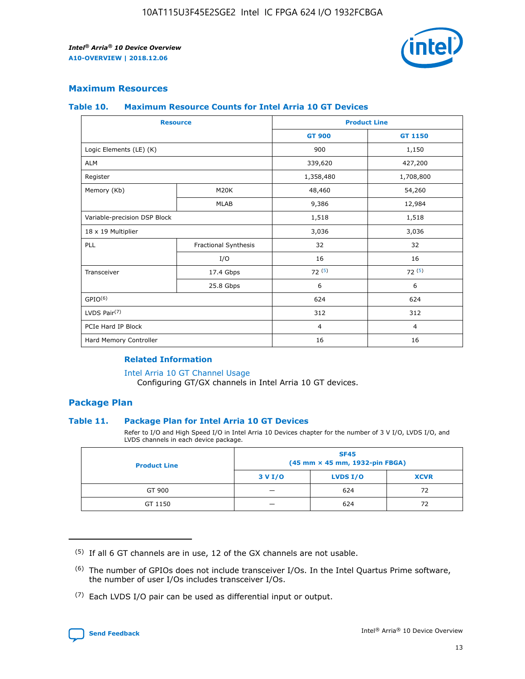

## **Maximum Resources**

#### **Table 10. Maximum Resource Counts for Intel Arria 10 GT Devices**

| <b>Resource</b>              |                      |                | <b>Product Line</b> |
|------------------------------|----------------------|----------------|---------------------|
|                              |                      | <b>GT 900</b>  | GT 1150             |
| Logic Elements (LE) (K)      |                      | 900            | 1,150               |
| <b>ALM</b>                   |                      | 339,620        | 427,200             |
| Register                     |                      | 1,358,480      | 1,708,800           |
| Memory (Kb)                  | M20K                 | 48,460         | 54,260              |
|                              | <b>MLAB</b>          | 9,386          | 12,984              |
| Variable-precision DSP Block |                      | 1,518          | 1,518               |
| 18 x 19 Multiplier           |                      | 3,036          | 3,036               |
| PLL                          | Fractional Synthesis | 32             | 32                  |
|                              | I/O                  | 16             | 16                  |
| Transceiver                  | 17.4 Gbps            | 72(5)          | 72(5)               |
|                              | 25.8 Gbps            | 6              | 6                   |
| GPIO <sup>(6)</sup>          |                      | 624            | 624                 |
| LVDS Pair $(7)$              |                      | 312            | 312                 |
| PCIe Hard IP Block           |                      | $\overline{4}$ | $\overline{4}$      |
| Hard Memory Controller       |                      | 16             | 16                  |

### **Related Information**

#### [Intel Arria 10 GT Channel Usage](https://www.intel.com/content/www/us/en/programmable/documentation/nik1398707230472.html#nik1398707008178)

Configuring GT/GX channels in Intel Arria 10 GT devices.

## **Package Plan**

#### **Table 11. Package Plan for Intel Arria 10 GT Devices**

Refer to I/O and High Speed I/O in Intel Arria 10 Devices chapter for the number of 3 V I/O, LVDS I/O, and LVDS channels in each device package.

| <b>Product Line</b> | <b>SF45</b><br>(45 mm × 45 mm, 1932-pin FBGA) |                 |             |  |  |  |  |
|---------------------|-----------------------------------------------|-----------------|-------------|--|--|--|--|
|                     | 3 V I/O                                       | <b>LVDS I/O</b> | <b>XCVR</b> |  |  |  |  |
| GT 900              |                                               | 624             | 72          |  |  |  |  |
| GT 1150             |                                               | 624             | 72          |  |  |  |  |

<sup>(7)</sup> Each LVDS I/O pair can be used as differential input or output.



 $(5)$  If all 6 GT channels are in use, 12 of the GX channels are not usable.

<sup>(6)</sup> The number of GPIOs does not include transceiver I/Os. In the Intel Quartus Prime software, the number of user I/Os includes transceiver I/Os.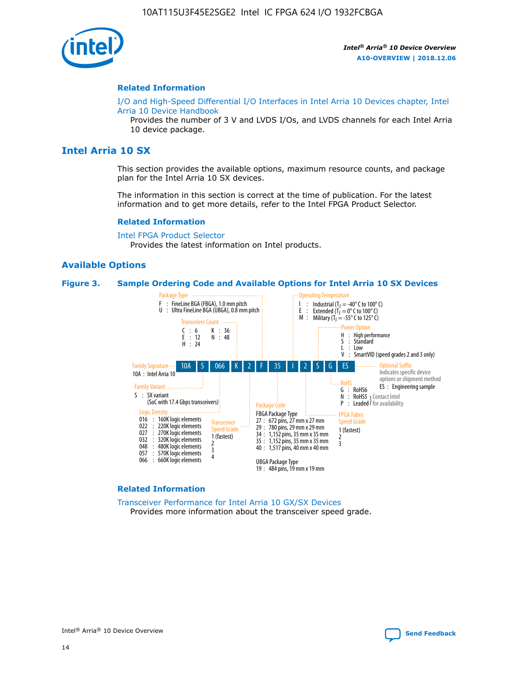

#### **Related Information**

[I/O and High-Speed Differential I/O Interfaces in Intel Arria 10 Devices chapter, Intel](https://www.intel.com/content/www/us/en/programmable/documentation/sam1403482614086.html#sam1403482030321) [Arria 10 Device Handbook](https://www.intel.com/content/www/us/en/programmable/documentation/sam1403482614086.html#sam1403482030321)

Provides the number of 3 V and LVDS I/Os, and LVDS channels for each Intel Arria 10 device package.

## **Intel Arria 10 SX**

This section provides the available options, maximum resource counts, and package plan for the Intel Arria 10 SX devices.

The information in this section is correct at the time of publication. For the latest information and to get more details, refer to the Intel FPGA Product Selector.

#### **Related Information**

[Intel FPGA Product Selector](http://www.altera.com/products/selector/psg-selector.html) Provides the latest information on Intel products.

#### **Available Options**

#### **Figure 3. Sample Ordering Code and Available Options for Intel Arria 10 SX Devices**



#### **Related Information**

[Transceiver Performance for Intel Arria 10 GX/SX Devices](https://www.intel.com/content/www/us/en/programmable/documentation/mcn1413182292568.html#mcn1413213965502) Provides more information about the transceiver speed grade.

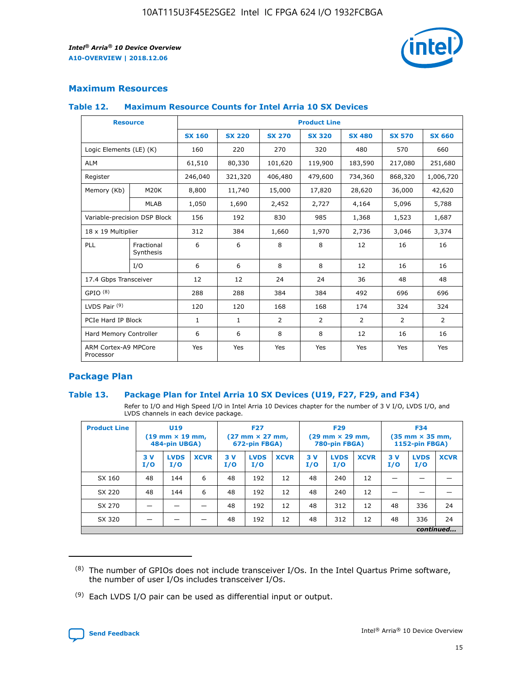

## **Maximum Resources**

#### **Table 12. Maximum Resource Counts for Intel Arria 10 SX Devices**

| <b>Resource</b>                   |                         |               |               |                | <b>Product Line</b> |                |                |                |
|-----------------------------------|-------------------------|---------------|---------------|----------------|---------------------|----------------|----------------|----------------|
|                                   |                         | <b>SX 160</b> | <b>SX 220</b> | <b>SX 270</b>  | <b>SX 320</b>       | <b>SX 480</b>  | <b>SX 570</b>  | <b>SX 660</b>  |
| Logic Elements (LE) (K)           |                         | 160           | 220           | 270            | 320                 | 480            | 570            | 660            |
| <b>ALM</b>                        |                         | 61,510        | 80,330        | 101,620        | 119,900             | 183,590        | 217,080        | 251,680        |
| Register                          |                         | 246,040       | 321,320       | 406,480        | 479,600             | 734,360        | 868,320        | 1,006,720      |
| Memory (Kb)                       | <b>M20K</b>             | 8,800         | 11,740        | 15,000         | 17,820              | 28,620         | 36,000         | 42,620         |
|                                   | <b>MLAB</b>             | 1,050         | 1,690         | 2,452          | 2,727               | 4,164          | 5,096          | 5,788          |
| Variable-precision DSP Block      |                         | 156           | 192           | 830            | 985                 | 1,368          | 1,523          | 1,687          |
| 18 x 19 Multiplier                |                         | 312           | 384           | 1,660          | 1,970               | 2,736          | 3,046          | 3,374          |
| <b>PLL</b>                        | Fractional<br>Synthesis | 6             | 6             | 8              | 8                   | 12             | 16             | 16             |
|                                   | I/O                     | 6             | 6             | 8              | 8                   | 12             | 16             | 16             |
| 17.4 Gbps Transceiver             |                         | 12            | 12            | 24             | 24                  | 36             | 48             | 48             |
| GPIO <sup>(8)</sup>               |                         | 288           | 288           | 384            | 384                 | 492            | 696            | 696            |
| LVDS Pair $(9)$                   |                         | 120           | 120           | 168            | 168                 | 174            | 324            | 324            |
|                                   | PCIe Hard IP Block      |               | $\mathbf{1}$  | $\overline{2}$ | $\overline{2}$      | $\overline{2}$ | $\overline{2}$ | $\overline{2}$ |
| Hard Memory Controller            |                         | 6             | 6             | 8              | 8                   | 12             | 16             | 16             |
| ARM Cortex-A9 MPCore<br>Processor |                         | Yes           | Yes           | Yes            | Yes                 | Yes            | Yes            | Yes            |

## **Package Plan**

#### **Table 13. Package Plan for Intel Arria 10 SX Devices (U19, F27, F29, and F34)**

Refer to I/O and High Speed I/O in Intel Arria 10 Devices chapter for the number of 3 V I/O, LVDS I/O, and LVDS channels in each device package.

| <b>Product Line</b> | U19<br>$(19 \text{ mm} \times 19 \text{ mm})$<br>484-pin UBGA) |                    |             | <b>F27</b><br>$(27 \text{ mm} \times 27 \text{ mm})$<br>672-pin FBGA) |                    | <b>F29</b><br>$(29 \text{ mm} \times 29 \text{ mm})$<br>780-pin FBGA) |            |                    | <b>F34</b><br>$(35 \text{ mm} \times 35 \text{ mm})$<br><b>1152-pin FBGA)</b> |           |                    |             |
|---------------------|----------------------------------------------------------------|--------------------|-------------|-----------------------------------------------------------------------|--------------------|-----------------------------------------------------------------------|------------|--------------------|-------------------------------------------------------------------------------|-----------|--------------------|-------------|
|                     | 3V<br>I/O                                                      | <b>LVDS</b><br>I/O | <b>XCVR</b> | 3V<br>I/O                                                             | <b>LVDS</b><br>I/O | <b>XCVR</b>                                                           | 3 V<br>I/O | <b>LVDS</b><br>I/O | <b>XCVR</b>                                                                   | 3V<br>I/O | <b>LVDS</b><br>I/O | <b>XCVR</b> |
| SX 160              | 48                                                             | 144                | 6           | 48                                                                    | 192                | 12                                                                    | 48         | 240                | 12                                                                            | –         |                    |             |
| SX 220              | 48                                                             | 144                | 6           | 48                                                                    | 192                | 12                                                                    | 48         | 240                | 12                                                                            |           |                    |             |
| SX 270              |                                                                |                    |             | 48                                                                    | 192                | 12                                                                    | 48         | 312                | 12                                                                            | 48        | 336                | 24          |
| SX 320              |                                                                |                    |             | 48                                                                    | 192                | 12                                                                    | 48         | 312                | 12                                                                            | 48        | 336                | 24          |
|                     | continued                                                      |                    |             |                                                                       |                    |                                                                       |            |                    |                                                                               |           |                    |             |

 $(8)$  The number of GPIOs does not include transceiver I/Os. In the Intel Quartus Prime software, the number of user I/Os includes transceiver I/Os.

 $(9)$  Each LVDS I/O pair can be used as differential input or output.

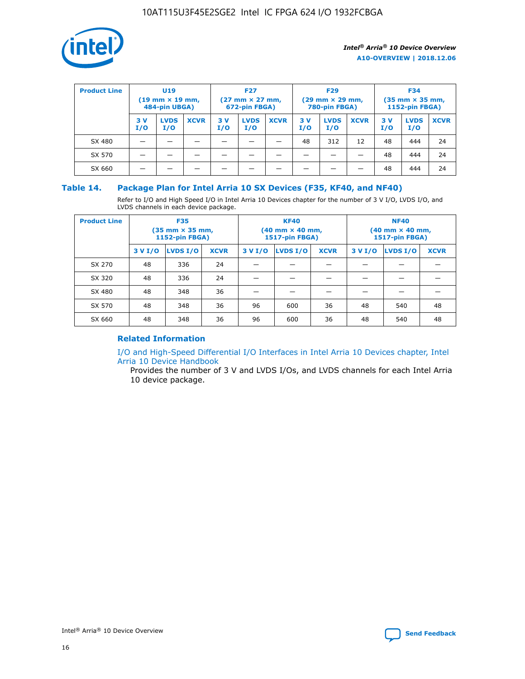

| <b>Product Line</b> | U <sub>19</sub><br>$(19 \text{ mm} \times 19 \text{ mm})$<br>484-pin UBGA) |                    | <b>F27</b><br>$(27 \text{ mm} \times 27 \text{ mm})$<br>672-pin FBGA) |           | <b>F29</b><br>$(29$ mm $\times$ 29 mm,<br>780-pin FBGA) |             |           | <b>F34</b><br>$(35$ mm $\times$ 35 mm,<br><b>1152-pin FBGA)</b> |             |            |                    |             |
|---------------------|----------------------------------------------------------------------------|--------------------|-----------------------------------------------------------------------|-----------|---------------------------------------------------------|-------------|-----------|-----------------------------------------------------------------|-------------|------------|--------------------|-------------|
|                     | 3 V<br>I/O                                                                 | <b>LVDS</b><br>I/O | <b>XCVR</b>                                                           | 3V<br>I/O | <b>LVDS</b><br>I/O                                      | <b>XCVR</b> | 3V<br>I/O | <b>LVDS</b><br>I/O                                              | <b>XCVR</b> | 3 V<br>I/O | <b>LVDS</b><br>I/O | <b>XCVR</b> |
| SX 480              |                                                                            |                    |                                                                       |           |                                                         |             | 48        | 312                                                             | 12          | 48         | 444                | 24          |
| SX 570              |                                                                            |                    |                                                                       |           |                                                         |             |           |                                                                 |             | 48         | 444                | 24          |
| SX 660              |                                                                            |                    |                                                                       |           |                                                         |             |           |                                                                 |             | 48         | 444                | 24          |

## **Table 14. Package Plan for Intel Arria 10 SX Devices (F35, KF40, and NF40)**

Refer to I/O and High Speed I/O in Intel Arria 10 Devices chapter for the number of 3 V I/O, LVDS I/O, and LVDS channels in each device package.

| <b>Product Line</b> | <b>F35</b><br>$(35 \text{ mm} \times 35 \text{ mm})$<br><b>1152-pin FBGA)</b> |          |             |         | <b>KF40</b><br>(40 mm × 40 mm,<br>1517-pin FBGA) |    | <b>NF40</b><br>$(40 \text{ mm} \times 40 \text{ mm})$<br>1517-pin FBGA) |          |             |  |
|---------------------|-------------------------------------------------------------------------------|----------|-------------|---------|--------------------------------------------------|----|-------------------------------------------------------------------------|----------|-------------|--|
|                     | 3 V I/O                                                                       | LVDS I/O | <b>XCVR</b> | 3 V I/O | <b>LVDS I/O</b><br><b>XCVR</b><br>3 V I/O        |    |                                                                         | LVDS I/O | <b>XCVR</b> |  |
| SX 270              | 48                                                                            | 336      | 24          |         |                                                  |    |                                                                         |          |             |  |
| SX 320              | 48                                                                            | 336      | 24          |         |                                                  |    |                                                                         |          |             |  |
| SX 480              | 48                                                                            | 348      | 36          |         |                                                  |    |                                                                         |          |             |  |
| SX 570              | 48                                                                            | 348      | 36          | 96      | 600                                              | 36 | 48                                                                      | 540      | 48          |  |
| SX 660              | 48                                                                            | 348      | 36          | 96      | 600                                              | 36 | 48                                                                      | 540      | 48          |  |

## **Related Information**

[I/O and High-Speed Differential I/O Interfaces in Intel Arria 10 Devices chapter, Intel](https://www.intel.com/content/www/us/en/programmable/documentation/sam1403482614086.html#sam1403482030321) [Arria 10 Device Handbook](https://www.intel.com/content/www/us/en/programmable/documentation/sam1403482614086.html#sam1403482030321)

Provides the number of 3 V and LVDS I/Os, and LVDS channels for each Intel Arria 10 device package.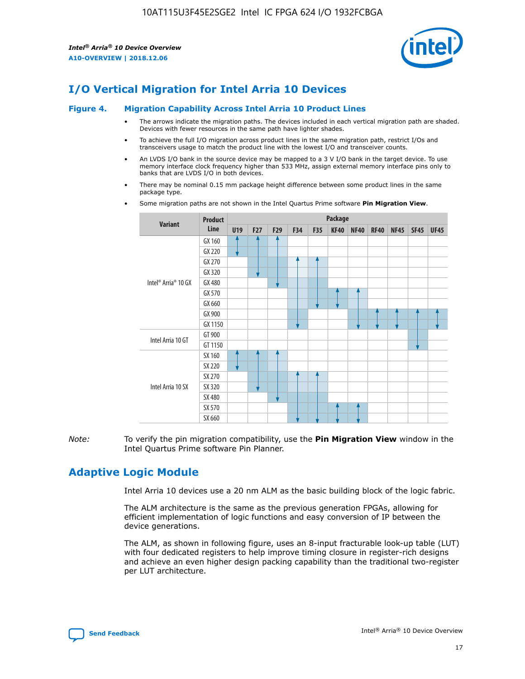

# **I/O Vertical Migration for Intel Arria 10 Devices**

#### **Figure 4. Migration Capability Across Intel Arria 10 Product Lines**

- The arrows indicate the migration paths. The devices included in each vertical migration path are shaded. Devices with fewer resources in the same path have lighter shades.
- To achieve the full I/O migration across product lines in the same migration path, restrict I/Os and transceivers usage to match the product line with the lowest I/O and transceiver counts.
- An LVDS I/O bank in the source device may be mapped to a 3 V I/O bank in the target device. To use memory interface clock frequency higher than 533 MHz, assign external memory interface pins only to banks that are LVDS I/O in both devices.
- There may be nominal 0.15 mm package height difference between some product lines in the same package type.
	- **Variant Product Line Package U19 F27 F29 F34 F35 KF40 NF40 RF40 NF45 SF45 UF45** Intel® Arria® 10 GX GX 160 GX 220 GX 270 GX 320 GX 480 GX 570 GX 660 GX 900 GX 1150 Intel Arria 10 GT GT 900 GT 1150 Intel Arria 10 SX SX 160 SX 220 SX 270 SX 320 SX 480 SX 570 SX 660
- Some migration paths are not shown in the Intel Quartus Prime software **Pin Migration View**.

*Note:* To verify the pin migration compatibility, use the **Pin Migration View** window in the Intel Quartus Prime software Pin Planner.

# **Adaptive Logic Module**

Intel Arria 10 devices use a 20 nm ALM as the basic building block of the logic fabric.

The ALM architecture is the same as the previous generation FPGAs, allowing for efficient implementation of logic functions and easy conversion of IP between the device generations.

The ALM, as shown in following figure, uses an 8-input fracturable look-up table (LUT) with four dedicated registers to help improve timing closure in register-rich designs and achieve an even higher design packing capability than the traditional two-register per LUT architecture.

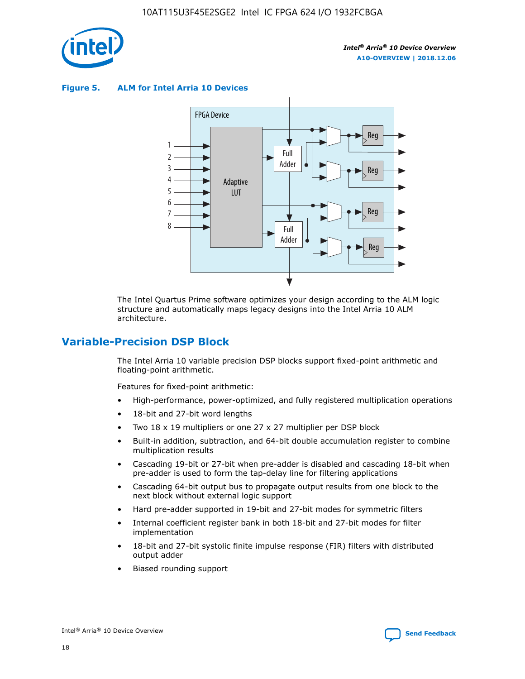

**Figure 5. ALM for Intel Arria 10 Devices**



The Intel Quartus Prime software optimizes your design according to the ALM logic structure and automatically maps legacy designs into the Intel Arria 10 ALM architecture.

# **Variable-Precision DSP Block**

The Intel Arria 10 variable precision DSP blocks support fixed-point arithmetic and floating-point arithmetic.

Features for fixed-point arithmetic:

- High-performance, power-optimized, and fully registered multiplication operations
- 18-bit and 27-bit word lengths
- Two 18 x 19 multipliers or one 27 x 27 multiplier per DSP block
- Built-in addition, subtraction, and 64-bit double accumulation register to combine multiplication results
- Cascading 19-bit or 27-bit when pre-adder is disabled and cascading 18-bit when pre-adder is used to form the tap-delay line for filtering applications
- Cascading 64-bit output bus to propagate output results from one block to the next block without external logic support
- Hard pre-adder supported in 19-bit and 27-bit modes for symmetric filters
- Internal coefficient register bank in both 18-bit and 27-bit modes for filter implementation
- 18-bit and 27-bit systolic finite impulse response (FIR) filters with distributed output adder
- Biased rounding support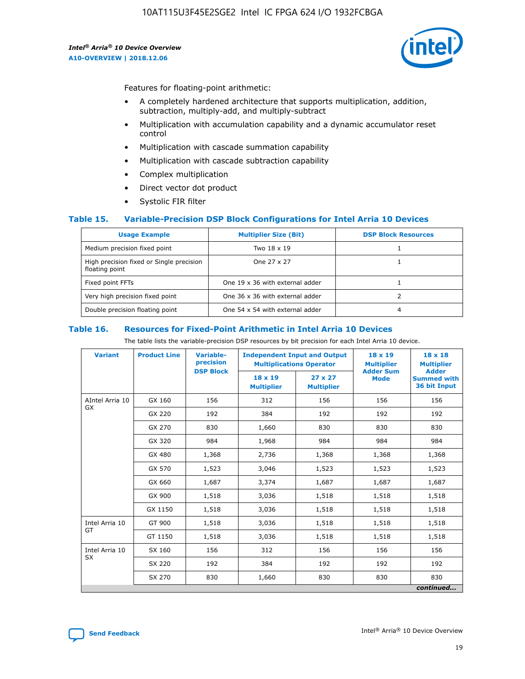

Features for floating-point arithmetic:

- A completely hardened architecture that supports multiplication, addition, subtraction, multiply-add, and multiply-subtract
- Multiplication with accumulation capability and a dynamic accumulator reset control
- Multiplication with cascade summation capability
- Multiplication with cascade subtraction capability
- Complex multiplication
- Direct vector dot product
- Systolic FIR filter

#### **Table 15. Variable-Precision DSP Block Configurations for Intel Arria 10 Devices**

| <b>Usage Example</b>                                       | <b>Multiplier Size (Bit)</b>    | <b>DSP Block Resources</b> |
|------------------------------------------------------------|---------------------------------|----------------------------|
| Medium precision fixed point                               | Two 18 x 19                     |                            |
| High precision fixed or Single precision<br>floating point | One 27 x 27                     |                            |
| Fixed point FFTs                                           | One 19 x 36 with external adder |                            |
| Very high precision fixed point                            | One 36 x 36 with external adder |                            |
| Double precision floating point                            | One 54 x 54 with external adder | 4                          |

#### **Table 16. Resources for Fixed-Point Arithmetic in Intel Arria 10 Devices**

The table lists the variable-precision DSP resources by bit precision for each Intel Arria 10 device.

| <b>Variant</b>  | <b>Product Line</b> | <b>Variable-</b><br>precision<br><b>DSP Block</b> | <b>Independent Input and Output</b><br><b>Multiplications Operator</b> |                                     | 18 x 19<br><b>Multiplier</b><br><b>Adder Sum</b> | $18 \times 18$<br><b>Multiplier</b><br><b>Adder</b> |
|-----------------|---------------------|---------------------------------------------------|------------------------------------------------------------------------|-------------------------------------|--------------------------------------------------|-----------------------------------------------------|
|                 |                     |                                                   | 18 x 19<br><b>Multiplier</b>                                           | $27 \times 27$<br><b>Multiplier</b> | <b>Mode</b>                                      | <b>Summed with</b><br>36 bit Input                  |
| AIntel Arria 10 | GX 160              | 156                                               | 312                                                                    | 156                                 | 156                                              | 156                                                 |
| GX              | GX 220              | 192                                               | 384                                                                    | 192                                 | 192                                              | 192                                                 |
|                 | GX 270              | 830                                               | 1,660                                                                  | 830                                 | 830                                              | 830                                                 |
|                 | GX 320              | 984                                               | 1,968                                                                  | 984                                 | 984                                              | 984                                                 |
|                 | GX 480              | 1,368                                             | 2,736                                                                  | 1,368                               | 1,368                                            | 1,368                                               |
|                 | GX 570              | 1,523                                             | 3,046                                                                  | 1,523                               | 1,523                                            | 1,523                                               |
|                 | GX 660              | 1,687                                             | 3,374                                                                  | 1,687                               | 1,687                                            | 1,687                                               |
|                 | GX 900              | 1,518                                             | 3,036                                                                  | 1,518                               | 1,518                                            | 1,518                                               |
|                 | GX 1150             | 1,518                                             | 3,036                                                                  | 1,518                               | 1,518                                            | 1,518                                               |
| Intel Arria 10  | GT 900              | 1,518                                             | 3,036                                                                  | 1,518                               | 1,518                                            | 1,518                                               |
| GT              | GT 1150             | 1,518                                             | 3,036                                                                  | 1,518                               | 1,518                                            | 1,518                                               |
| Intel Arria 10  | SX 160              | 156                                               | 312                                                                    | 156                                 | 156                                              | 156                                                 |
| <b>SX</b>       | SX 220              | 192                                               | 384                                                                    | 192                                 | 192                                              | 192                                                 |
|                 | SX 270              | 830                                               | 1,660                                                                  | 830                                 | 830                                              | 830                                                 |
|                 |                     |                                                   |                                                                        |                                     |                                                  | continued                                           |

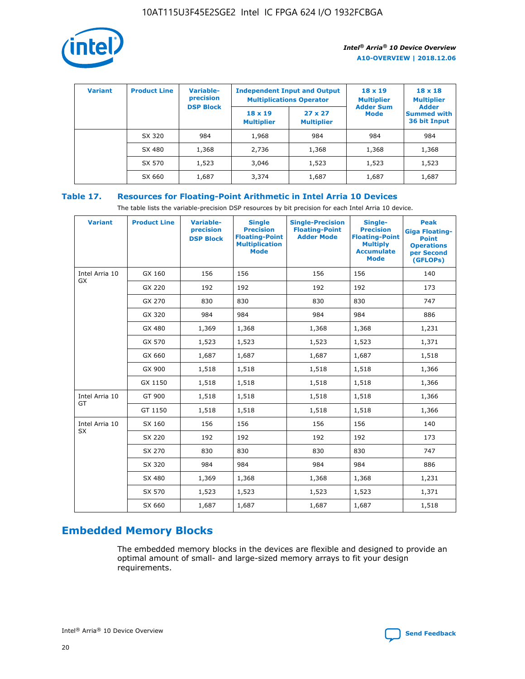

| <b>Variant</b> | <b>Product Line</b> | <b>Variable-</b><br>precision | <b>Independent Input and Output</b><br><b>Multiplications Operator</b> |                                     | $18 \times 19$<br><b>Multiplier</b> | $18 \times 18$<br><b>Multiplier</b>                |
|----------------|---------------------|-------------------------------|------------------------------------------------------------------------|-------------------------------------|-------------------------------------|----------------------------------------------------|
|                |                     | <b>DSP Block</b>              | $18 \times 19$<br><b>Multiplier</b>                                    | $27 \times 27$<br><b>Multiplier</b> | <b>Adder Sum</b><br><b>Mode</b>     | <b>Adder</b><br><b>Summed with</b><br>36 bit Input |
|                | SX 320              | 984                           | 1,968                                                                  | 984                                 | 984                                 | 984                                                |
|                | SX 480              | 1,368                         | 2,736                                                                  | 1,368                               | 1,368                               | 1,368                                              |
|                | SX 570              | 1,523                         | 3,046                                                                  | 1,523                               | 1,523                               | 1,523                                              |
|                | SX 660              | 1,687                         | 3,374                                                                  | 1,687                               | 1,687                               | 1,687                                              |

## **Table 17. Resources for Floating-Point Arithmetic in Intel Arria 10 Devices**

The table lists the variable-precision DSP resources by bit precision for each Intel Arria 10 device.

| <b>Variant</b> | <b>Product Line</b> | <b>Variable-</b><br>precision<br><b>DSP Block</b> | <b>Single</b><br><b>Precision</b><br><b>Floating-Point</b><br><b>Multiplication</b><br><b>Mode</b> | <b>Single-Precision</b><br><b>Floating-Point</b><br><b>Adder Mode</b> | Single-<br><b>Precision</b><br><b>Floating-Point</b><br><b>Multiply</b><br><b>Accumulate</b><br><b>Mode</b> | <b>Peak</b><br><b>Giga Floating-</b><br><b>Point</b><br><b>Operations</b><br>per Second<br>(GFLOPs) |
|----------------|---------------------|---------------------------------------------------|----------------------------------------------------------------------------------------------------|-----------------------------------------------------------------------|-------------------------------------------------------------------------------------------------------------|-----------------------------------------------------------------------------------------------------|
| Intel Arria 10 | GX 160              | 156                                               | 156                                                                                                | 156                                                                   | 156                                                                                                         | 140                                                                                                 |
| <b>GX</b>      | GX 220              | 192                                               | 192                                                                                                | 192                                                                   | 192                                                                                                         | 173                                                                                                 |
|                | GX 270              | 830                                               | 830                                                                                                | 830                                                                   | 830                                                                                                         | 747                                                                                                 |
|                | GX 320              | 984                                               | 984                                                                                                | 984                                                                   | 984                                                                                                         | 886                                                                                                 |
|                | GX 480              | 1,369                                             | 1,368                                                                                              | 1,368                                                                 | 1,368                                                                                                       | 1,231                                                                                               |
|                | GX 570              | 1,523                                             | 1,523                                                                                              | 1,523                                                                 | 1,523                                                                                                       | 1,371                                                                                               |
|                | GX 660              | 1,687                                             | 1,687                                                                                              | 1,687                                                                 | 1,687                                                                                                       | 1,518                                                                                               |
|                | GX 900              | 1,518                                             | 1,518                                                                                              | 1,518                                                                 | 1,518                                                                                                       | 1,366                                                                                               |
|                | GX 1150             | 1,518                                             | 1,518                                                                                              | 1,518                                                                 | 1,518                                                                                                       | 1,366                                                                                               |
| Intel Arria 10 | GT 900              | 1,518                                             | 1,518                                                                                              | 1,518                                                                 | 1,518                                                                                                       | 1,366                                                                                               |
| GT             | GT 1150             | 1,518                                             | 1,518                                                                                              | 1,518                                                                 | 1,518                                                                                                       | 1,366                                                                                               |
| Intel Arria 10 | SX 160              | 156                                               | 156                                                                                                | 156                                                                   | 156                                                                                                         | 140                                                                                                 |
| SX             | SX 220              | 192                                               | 192                                                                                                | 192                                                                   | 192                                                                                                         | 173                                                                                                 |
|                | SX 270              | 830                                               | 830                                                                                                | 830                                                                   | 830                                                                                                         | 747                                                                                                 |
|                | SX 320              | 984                                               | 984                                                                                                | 984                                                                   | 984                                                                                                         | 886                                                                                                 |
|                | SX 480              | 1,369                                             | 1,368                                                                                              | 1,368                                                                 | 1,368                                                                                                       | 1,231                                                                                               |
|                | SX 570              | 1,523                                             | 1,523                                                                                              | 1,523                                                                 | 1,523                                                                                                       | 1,371                                                                                               |
|                | SX 660              | 1,687                                             | 1,687                                                                                              | 1,687                                                                 | 1,687                                                                                                       | 1,518                                                                                               |

# **Embedded Memory Blocks**

The embedded memory blocks in the devices are flexible and designed to provide an optimal amount of small- and large-sized memory arrays to fit your design requirements.

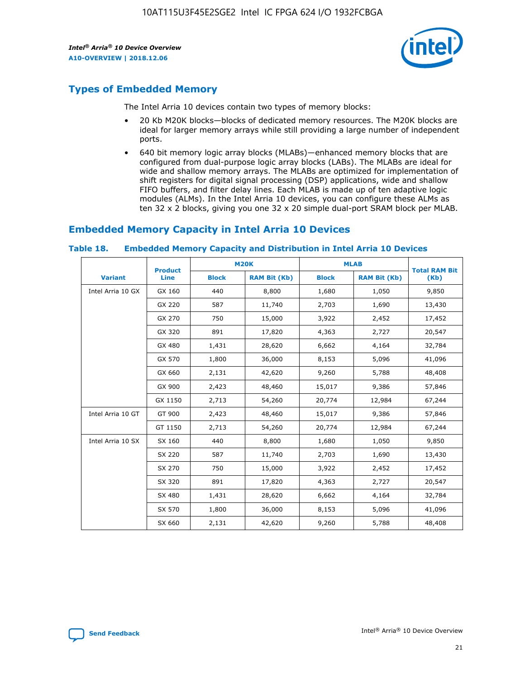

# **Types of Embedded Memory**

The Intel Arria 10 devices contain two types of memory blocks:

- 20 Kb M20K blocks—blocks of dedicated memory resources. The M20K blocks are ideal for larger memory arrays while still providing a large number of independent ports.
- 640 bit memory logic array blocks (MLABs)—enhanced memory blocks that are configured from dual-purpose logic array blocks (LABs). The MLABs are ideal for wide and shallow memory arrays. The MLABs are optimized for implementation of shift registers for digital signal processing (DSP) applications, wide and shallow FIFO buffers, and filter delay lines. Each MLAB is made up of ten adaptive logic modules (ALMs). In the Intel Arria 10 devices, you can configure these ALMs as ten 32 x 2 blocks, giving you one 32 x 20 simple dual-port SRAM block per MLAB.

# **Embedded Memory Capacity in Intel Arria 10 Devices**

|                   | <b>Product</b> |              | <b>M20K</b>         | <b>MLAB</b>  |                     | <b>Total RAM Bit</b> |
|-------------------|----------------|--------------|---------------------|--------------|---------------------|----------------------|
| <b>Variant</b>    | Line           | <b>Block</b> | <b>RAM Bit (Kb)</b> | <b>Block</b> | <b>RAM Bit (Kb)</b> | (Kb)                 |
| Intel Arria 10 GX | GX 160         | 440          | 8,800               | 1,680        | 1,050               | 9,850                |
|                   | GX 220         | 587          | 11,740              | 2,703        | 1,690               | 13,430               |
|                   | GX 270         | 750          | 15,000              | 3,922        | 2,452               | 17,452               |
|                   | GX 320         | 891          | 17,820              | 4,363        | 2,727               | 20,547               |
|                   | GX 480         | 1,431        | 28,620              | 6,662        | 4,164               | 32,784               |
|                   | GX 570         | 1,800        | 36,000              | 8,153        | 5,096               | 41,096               |
|                   | GX 660         | 2,131        | 42,620              | 9,260        | 5,788               | 48,408               |
|                   | GX 900         | 2,423        | 48,460              | 15,017       | 9,386               | 57,846               |
|                   | GX 1150        | 2,713        | 54,260              | 20,774       | 12,984              | 67,244               |
| Intel Arria 10 GT | GT 900         | 2,423        | 48,460              | 15,017       | 9,386               | 57,846               |
|                   | GT 1150        | 2,713        | 54,260              | 20,774       | 12,984              | 67,244               |
| Intel Arria 10 SX | SX 160         | 440          | 8,800               | 1,680        | 1,050               | 9,850                |
|                   | SX 220         | 587          | 11,740              | 2,703        | 1,690               | 13,430               |
|                   | SX 270         | 750          | 15,000              | 3,922        | 2,452               | 17,452               |
|                   | SX 320         | 891          | 17,820              | 4,363        | 2,727               | 20,547               |
|                   | SX 480         | 1,431        | 28,620              | 6,662        | 4,164               | 32,784               |
|                   | SX 570         | 1,800        | 36,000              | 8,153        | 5,096               | 41,096               |
|                   | SX 660         | 2,131        | 42,620              | 9,260        | 5,788               | 48,408               |

#### **Table 18. Embedded Memory Capacity and Distribution in Intel Arria 10 Devices**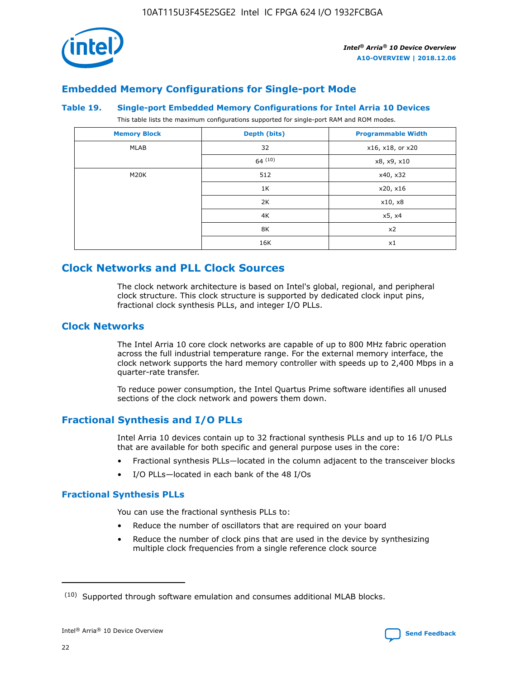

# **Embedded Memory Configurations for Single-port Mode**

#### **Table 19. Single-port Embedded Memory Configurations for Intel Arria 10 Devices**

This table lists the maximum configurations supported for single-port RAM and ROM modes.

| <b>Memory Block</b> | Depth (bits) | <b>Programmable Width</b> |
|---------------------|--------------|---------------------------|
| MLAB                | 32           | x16, x18, or x20          |
|                     | 64(10)       | x8, x9, x10               |
| M20K                | 512          | x40, x32                  |
|                     | 1K           | x20, x16                  |
|                     | 2K           | x10, x8                   |
|                     | 4K           | x5, x4                    |
|                     | 8K           | x2                        |
|                     | 16K          | x1                        |

# **Clock Networks and PLL Clock Sources**

The clock network architecture is based on Intel's global, regional, and peripheral clock structure. This clock structure is supported by dedicated clock input pins, fractional clock synthesis PLLs, and integer I/O PLLs.

## **Clock Networks**

The Intel Arria 10 core clock networks are capable of up to 800 MHz fabric operation across the full industrial temperature range. For the external memory interface, the clock network supports the hard memory controller with speeds up to 2,400 Mbps in a quarter-rate transfer.

To reduce power consumption, the Intel Quartus Prime software identifies all unused sections of the clock network and powers them down.

## **Fractional Synthesis and I/O PLLs**

Intel Arria 10 devices contain up to 32 fractional synthesis PLLs and up to 16 I/O PLLs that are available for both specific and general purpose uses in the core:

- Fractional synthesis PLLs—located in the column adjacent to the transceiver blocks
- I/O PLLs—located in each bank of the 48 I/Os

## **Fractional Synthesis PLLs**

You can use the fractional synthesis PLLs to:

- Reduce the number of oscillators that are required on your board
- Reduce the number of clock pins that are used in the device by synthesizing multiple clock frequencies from a single reference clock source

<sup>(10)</sup> Supported through software emulation and consumes additional MLAB blocks.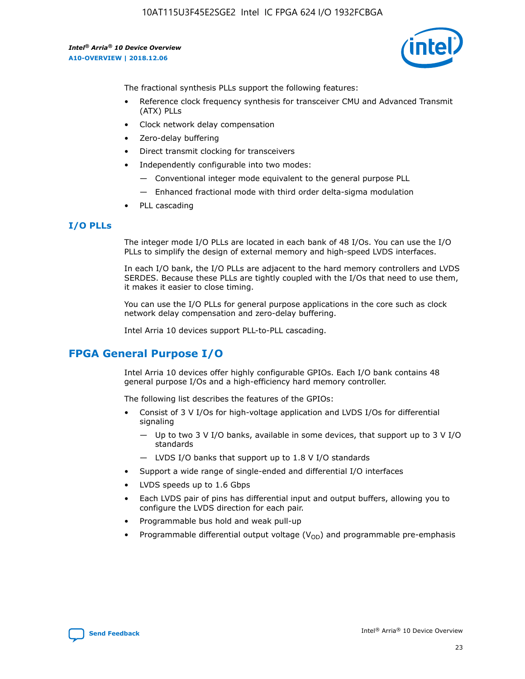

The fractional synthesis PLLs support the following features:

- Reference clock frequency synthesis for transceiver CMU and Advanced Transmit (ATX) PLLs
- Clock network delay compensation
- Zero-delay buffering
- Direct transmit clocking for transceivers
- Independently configurable into two modes:
	- Conventional integer mode equivalent to the general purpose PLL
	- Enhanced fractional mode with third order delta-sigma modulation
- PLL cascading

## **I/O PLLs**

The integer mode I/O PLLs are located in each bank of 48 I/Os. You can use the I/O PLLs to simplify the design of external memory and high-speed LVDS interfaces.

In each I/O bank, the I/O PLLs are adjacent to the hard memory controllers and LVDS SERDES. Because these PLLs are tightly coupled with the I/Os that need to use them, it makes it easier to close timing.

You can use the I/O PLLs for general purpose applications in the core such as clock network delay compensation and zero-delay buffering.

Intel Arria 10 devices support PLL-to-PLL cascading.

# **FPGA General Purpose I/O**

Intel Arria 10 devices offer highly configurable GPIOs. Each I/O bank contains 48 general purpose I/Os and a high-efficiency hard memory controller.

The following list describes the features of the GPIOs:

- Consist of 3 V I/Os for high-voltage application and LVDS I/Os for differential signaling
	- Up to two 3 V I/O banks, available in some devices, that support up to 3 V I/O standards
	- LVDS I/O banks that support up to 1.8 V I/O standards
- Support a wide range of single-ended and differential I/O interfaces
- LVDS speeds up to 1.6 Gbps
- Each LVDS pair of pins has differential input and output buffers, allowing you to configure the LVDS direction for each pair.
- Programmable bus hold and weak pull-up
- Programmable differential output voltage  $(V_{OD})$  and programmable pre-emphasis

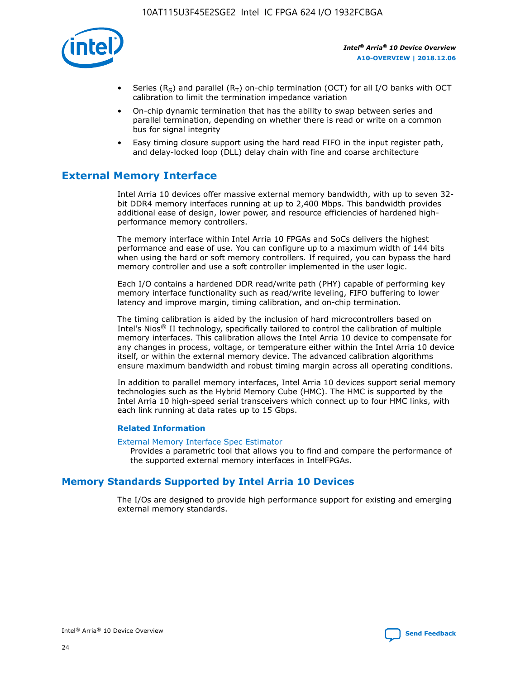

- Series (R<sub>S</sub>) and parallel (R<sub>T</sub>) on-chip termination (OCT) for all I/O banks with OCT calibration to limit the termination impedance variation
- On-chip dynamic termination that has the ability to swap between series and parallel termination, depending on whether there is read or write on a common bus for signal integrity
- Easy timing closure support using the hard read FIFO in the input register path, and delay-locked loop (DLL) delay chain with fine and coarse architecture

# **External Memory Interface**

Intel Arria 10 devices offer massive external memory bandwidth, with up to seven 32 bit DDR4 memory interfaces running at up to 2,400 Mbps. This bandwidth provides additional ease of design, lower power, and resource efficiencies of hardened highperformance memory controllers.

The memory interface within Intel Arria 10 FPGAs and SoCs delivers the highest performance and ease of use. You can configure up to a maximum width of 144 bits when using the hard or soft memory controllers. If required, you can bypass the hard memory controller and use a soft controller implemented in the user logic.

Each I/O contains a hardened DDR read/write path (PHY) capable of performing key memory interface functionality such as read/write leveling, FIFO buffering to lower latency and improve margin, timing calibration, and on-chip termination.

The timing calibration is aided by the inclusion of hard microcontrollers based on Intel's Nios® II technology, specifically tailored to control the calibration of multiple memory interfaces. This calibration allows the Intel Arria 10 device to compensate for any changes in process, voltage, or temperature either within the Intel Arria 10 device itself, or within the external memory device. The advanced calibration algorithms ensure maximum bandwidth and robust timing margin across all operating conditions.

In addition to parallel memory interfaces, Intel Arria 10 devices support serial memory technologies such as the Hybrid Memory Cube (HMC). The HMC is supported by the Intel Arria 10 high-speed serial transceivers which connect up to four HMC links, with each link running at data rates up to 15 Gbps.

#### **Related Information**

#### [External Memory Interface Spec Estimator](http://www.altera.com/technology/memory/estimator/mem-emif-index.html)

Provides a parametric tool that allows you to find and compare the performance of the supported external memory interfaces in IntelFPGAs.

## **Memory Standards Supported by Intel Arria 10 Devices**

The I/Os are designed to provide high performance support for existing and emerging external memory standards.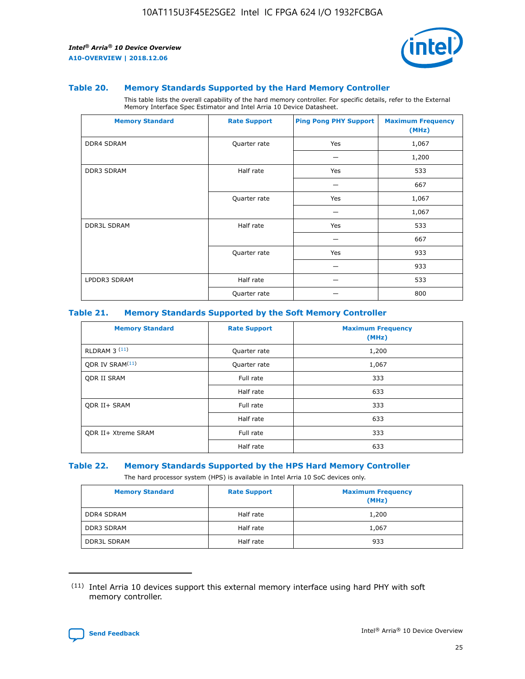

#### **Table 20. Memory Standards Supported by the Hard Memory Controller**

This table lists the overall capability of the hard memory controller. For specific details, refer to the External Memory Interface Spec Estimator and Intel Arria 10 Device Datasheet.

| <b>Memory Standard</b> | <b>Rate Support</b> | <b>Ping Pong PHY Support</b> | <b>Maximum Frequency</b><br>(MHz) |
|------------------------|---------------------|------------------------------|-----------------------------------|
| <b>DDR4 SDRAM</b>      | Quarter rate        | Yes                          | 1,067                             |
|                        |                     |                              | 1,200                             |
| <b>DDR3 SDRAM</b>      | Half rate           | Yes                          | 533                               |
|                        |                     |                              | 667                               |
|                        | Quarter rate        | Yes                          | 1,067                             |
|                        |                     |                              | 1,067                             |
| <b>DDR3L SDRAM</b>     | Half rate           | Yes                          | 533                               |
|                        |                     |                              | 667                               |
|                        | Quarter rate        | Yes                          | 933                               |
|                        |                     |                              | 933                               |
| LPDDR3 SDRAM           | Half rate           |                              | 533                               |
|                        | Quarter rate        |                              | 800                               |

#### **Table 21. Memory Standards Supported by the Soft Memory Controller**

| <b>Memory Standard</b>      | <b>Rate Support</b> | <b>Maximum Frequency</b><br>(MHz) |
|-----------------------------|---------------------|-----------------------------------|
| <b>RLDRAM 3 (11)</b>        | Quarter rate        | 1,200                             |
| ODR IV SRAM <sup>(11)</sup> | Quarter rate        | 1,067                             |
| <b>ODR II SRAM</b>          | Full rate           | 333                               |
|                             | Half rate           | 633                               |
| <b>ODR II+ SRAM</b>         | Full rate           | 333                               |
|                             | Half rate           | 633                               |
| <b>ODR II+ Xtreme SRAM</b>  | Full rate           | 333                               |
|                             | Half rate           | 633                               |

#### **Table 22. Memory Standards Supported by the HPS Hard Memory Controller**

The hard processor system (HPS) is available in Intel Arria 10 SoC devices only.

| <b>Memory Standard</b> | <b>Rate Support</b> | <b>Maximum Frequency</b><br>(MHz) |
|------------------------|---------------------|-----------------------------------|
| <b>DDR4 SDRAM</b>      | Half rate           | 1,200                             |
| <b>DDR3 SDRAM</b>      | Half rate           | 1,067                             |
| <b>DDR3L SDRAM</b>     | Half rate           | 933                               |

<sup>(11)</sup> Intel Arria 10 devices support this external memory interface using hard PHY with soft memory controller.

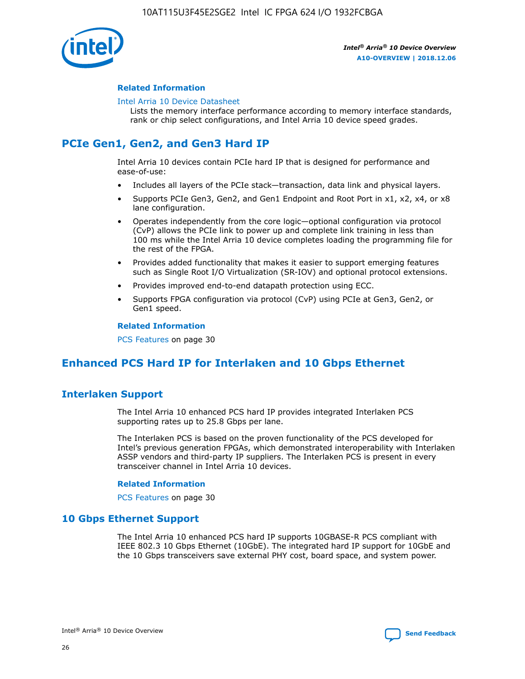

#### **Related Information**

#### [Intel Arria 10 Device Datasheet](https://www.intel.com/content/www/us/en/programmable/documentation/mcn1413182292568.html#mcn1413182153340)

Lists the memory interface performance according to memory interface standards, rank or chip select configurations, and Intel Arria 10 device speed grades.

# **PCIe Gen1, Gen2, and Gen3 Hard IP**

Intel Arria 10 devices contain PCIe hard IP that is designed for performance and ease-of-use:

- Includes all layers of the PCIe stack—transaction, data link and physical layers.
- Supports PCIe Gen3, Gen2, and Gen1 Endpoint and Root Port in x1, x2, x4, or x8 lane configuration.
- Operates independently from the core logic—optional configuration via protocol (CvP) allows the PCIe link to power up and complete link training in less than 100 ms while the Intel Arria 10 device completes loading the programming file for the rest of the FPGA.
- Provides added functionality that makes it easier to support emerging features such as Single Root I/O Virtualization (SR-IOV) and optional protocol extensions.
- Provides improved end-to-end datapath protection using ECC.
- Supports FPGA configuration via protocol (CvP) using PCIe at Gen3, Gen2, or Gen1 speed.

#### **Related Information**

PCS Features on page 30

# **Enhanced PCS Hard IP for Interlaken and 10 Gbps Ethernet**

## **Interlaken Support**

The Intel Arria 10 enhanced PCS hard IP provides integrated Interlaken PCS supporting rates up to 25.8 Gbps per lane.

The Interlaken PCS is based on the proven functionality of the PCS developed for Intel's previous generation FPGAs, which demonstrated interoperability with Interlaken ASSP vendors and third-party IP suppliers. The Interlaken PCS is present in every transceiver channel in Intel Arria 10 devices.

#### **Related Information**

PCS Features on page 30

## **10 Gbps Ethernet Support**

The Intel Arria 10 enhanced PCS hard IP supports 10GBASE-R PCS compliant with IEEE 802.3 10 Gbps Ethernet (10GbE). The integrated hard IP support for 10GbE and the 10 Gbps transceivers save external PHY cost, board space, and system power.

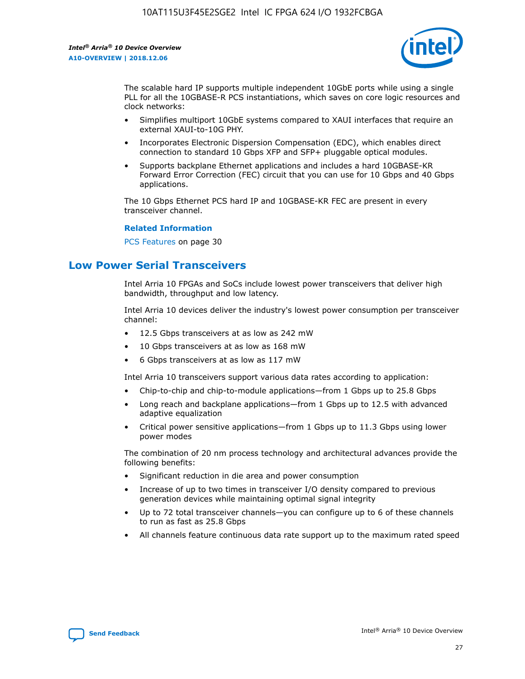

The scalable hard IP supports multiple independent 10GbE ports while using a single PLL for all the 10GBASE-R PCS instantiations, which saves on core logic resources and clock networks:

- Simplifies multiport 10GbE systems compared to XAUI interfaces that require an external XAUI-to-10G PHY.
- Incorporates Electronic Dispersion Compensation (EDC), which enables direct connection to standard 10 Gbps XFP and SFP+ pluggable optical modules.
- Supports backplane Ethernet applications and includes a hard 10GBASE-KR Forward Error Correction (FEC) circuit that you can use for 10 Gbps and 40 Gbps applications.

The 10 Gbps Ethernet PCS hard IP and 10GBASE-KR FEC are present in every transceiver channel.

#### **Related Information**

PCS Features on page 30

# **Low Power Serial Transceivers**

Intel Arria 10 FPGAs and SoCs include lowest power transceivers that deliver high bandwidth, throughput and low latency.

Intel Arria 10 devices deliver the industry's lowest power consumption per transceiver channel:

- 12.5 Gbps transceivers at as low as 242 mW
- 10 Gbps transceivers at as low as 168 mW
- 6 Gbps transceivers at as low as 117 mW

Intel Arria 10 transceivers support various data rates according to application:

- Chip-to-chip and chip-to-module applications—from 1 Gbps up to 25.8 Gbps
- Long reach and backplane applications—from 1 Gbps up to 12.5 with advanced adaptive equalization
- Critical power sensitive applications—from 1 Gbps up to 11.3 Gbps using lower power modes

The combination of 20 nm process technology and architectural advances provide the following benefits:

- Significant reduction in die area and power consumption
- Increase of up to two times in transceiver I/O density compared to previous generation devices while maintaining optimal signal integrity
- Up to 72 total transceiver channels—you can configure up to 6 of these channels to run as fast as 25.8 Gbps
- All channels feature continuous data rate support up to the maximum rated speed

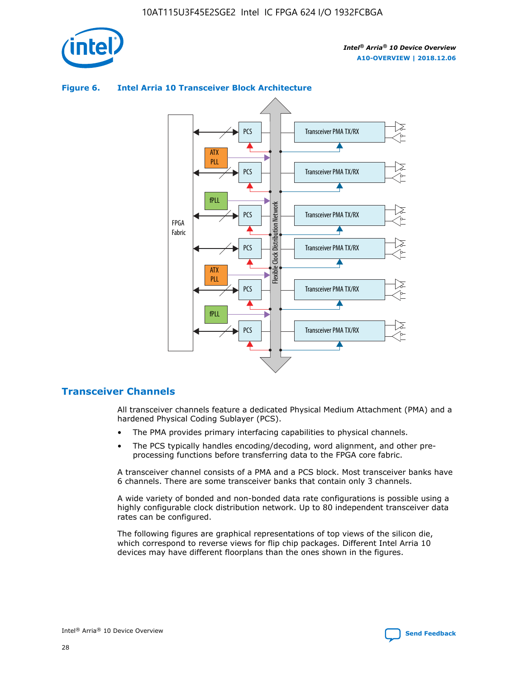



## **Figure 6. Intel Arria 10 Transceiver Block Architecture**

## **Transceiver Channels**

All transceiver channels feature a dedicated Physical Medium Attachment (PMA) and a hardened Physical Coding Sublayer (PCS).

- The PMA provides primary interfacing capabilities to physical channels.
- The PCS typically handles encoding/decoding, word alignment, and other preprocessing functions before transferring data to the FPGA core fabric.

A transceiver channel consists of a PMA and a PCS block. Most transceiver banks have 6 channels. There are some transceiver banks that contain only 3 channels.

A wide variety of bonded and non-bonded data rate configurations is possible using a highly configurable clock distribution network. Up to 80 independent transceiver data rates can be configured.

The following figures are graphical representations of top views of the silicon die, which correspond to reverse views for flip chip packages. Different Intel Arria 10 devices may have different floorplans than the ones shown in the figures.

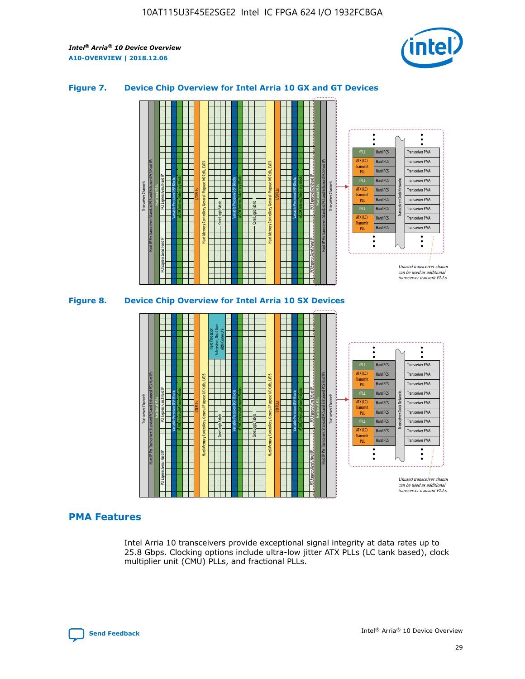

## **Figure 7. Device Chip Overview for Intel Arria 10 GX and GT Devices**





## **PMA Features**

Intel Arria 10 transceivers provide exceptional signal integrity at data rates up to 25.8 Gbps. Clocking options include ultra-low jitter ATX PLLs (LC tank based), clock multiplier unit (CMU) PLLs, and fractional PLLs.

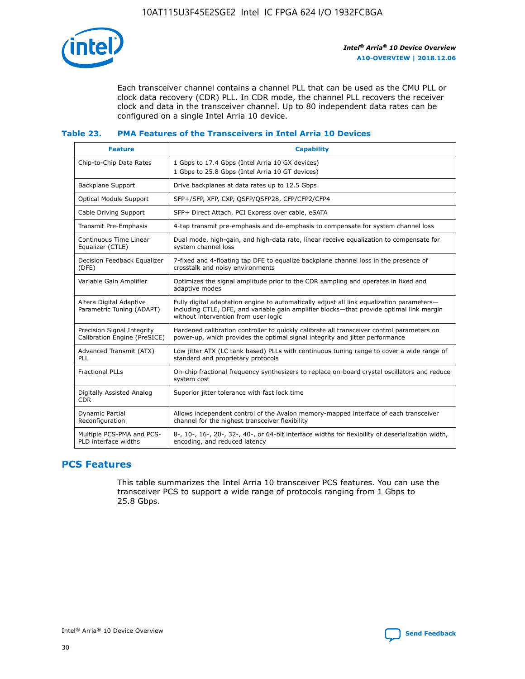

Each transceiver channel contains a channel PLL that can be used as the CMU PLL or clock data recovery (CDR) PLL. In CDR mode, the channel PLL recovers the receiver clock and data in the transceiver channel. Up to 80 independent data rates can be configured on a single Intel Arria 10 device.

## **Table 23. PMA Features of the Transceivers in Intel Arria 10 Devices**

| <b>Feature</b>                                             | <b>Capability</b>                                                                                                                                                                                                             |
|------------------------------------------------------------|-------------------------------------------------------------------------------------------------------------------------------------------------------------------------------------------------------------------------------|
| Chip-to-Chip Data Rates                                    | 1 Gbps to 17.4 Gbps (Intel Arria 10 GX devices)<br>1 Gbps to 25.8 Gbps (Intel Arria 10 GT devices)                                                                                                                            |
| Backplane Support                                          | Drive backplanes at data rates up to 12.5 Gbps                                                                                                                                                                                |
| Optical Module Support                                     | SFP+/SFP, XFP, CXP, QSFP/QSFP28, CFP/CFP2/CFP4                                                                                                                                                                                |
| Cable Driving Support                                      | SFP+ Direct Attach, PCI Express over cable, eSATA                                                                                                                                                                             |
| Transmit Pre-Emphasis                                      | 4-tap transmit pre-emphasis and de-emphasis to compensate for system channel loss                                                                                                                                             |
| Continuous Time Linear<br>Equalizer (CTLE)                 | Dual mode, high-gain, and high-data rate, linear receive equalization to compensate for<br>system channel loss                                                                                                                |
| Decision Feedback Equalizer<br>(DFE)                       | 7-fixed and 4-floating tap DFE to equalize backplane channel loss in the presence of<br>crosstalk and noisy environments                                                                                                      |
| Variable Gain Amplifier                                    | Optimizes the signal amplitude prior to the CDR sampling and operates in fixed and<br>adaptive modes                                                                                                                          |
| Altera Digital Adaptive<br>Parametric Tuning (ADAPT)       | Fully digital adaptation engine to automatically adjust all link equalization parameters-<br>including CTLE, DFE, and variable gain amplifier blocks—that provide optimal link margin<br>without intervention from user logic |
| Precision Signal Integrity<br>Calibration Engine (PreSICE) | Hardened calibration controller to quickly calibrate all transceiver control parameters on<br>power-up, which provides the optimal signal integrity and jitter performance                                                    |
| Advanced Transmit (ATX)<br><b>PLL</b>                      | Low jitter ATX (LC tank based) PLLs with continuous tuning range to cover a wide range of<br>standard and proprietary protocols                                                                                               |
| <b>Fractional PLLs</b>                                     | On-chip fractional frequency synthesizers to replace on-board crystal oscillators and reduce<br>system cost                                                                                                                   |
| Digitally Assisted Analog<br><b>CDR</b>                    | Superior jitter tolerance with fast lock time                                                                                                                                                                                 |
| Dynamic Partial<br>Reconfiguration                         | Allows independent control of the Avalon memory-mapped interface of each transceiver<br>channel for the highest transceiver flexibility                                                                                       |
| Multiple PCS-PMA and PCS-<br>PLD interface widths          | 8-, 10-, 16-, 20-, 32-, 40-, or 64-bit interface widths for flexibility of deserialization width,<br>encoding, and reduced latency                                                                                            |

## **PCS Features**

This table summarizes the Intel Arria 10 transceiver PCS features. You can use the transceiver PCS to support a wide range of protocols ranging from 1 Gbps to 25.8 Gbps.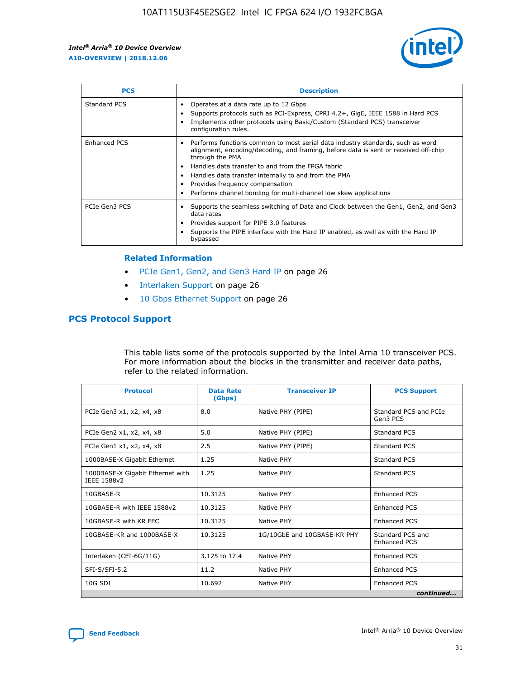

| <b>PCS</b>    | <b>Description</b>                                                                                                                                                                                                                                                                                                                                                                                             |
|---------------|----------------------------------------------------------------------------------------------------------------------------------------------------------------------------------------------------------------------------------------------------------------------------------------------------------------------------------------------------------------------------------------------------------------|
| Standard PCS  | Operates at a data rate up to 12 Gbps<br>Supports protocols such as PCI-Express, CPRI 4.2+, GigE, IEEE 1588 in Hard PCS<br>Implements other protocols using Basic/Custom (Standard PCS) transceiver<br>configuration rules.                                                                                                                                                                                    |
| Enhanced PCS  | Performs functions common to most serial data industry standards, such as word<br>alignment, encoding/decoding, and framing, before data is sent or received off-chip<br>through the PMA<br>• Handles data transfer to and from the FPGA fabric<br>Handles data transfer internally to and from the PMA<br>Provides frequency compensation<br>Performs channel bonding for multi-channel low skew applications |
| PCIe Gen3 PCS | Supports the seamless switching of Data and Clock between the Gen1, Gen2, and Gen3<br>data rates<br>Provides support for PIPE 3.0 features<br>Supports the PIPE interface with the Hard IP enabled, as well as with the Hard IP<br>bypassed                                                                                                                                                                    |

#### **Related Information**

- PCIe Gen1, Gen2, and Gen3 Hard IP on page 26
- Interlaken Support on page 26
- 10 Gbps Ethernet Support on page 26

## **PCS Protocol Support**

This table lists some of the protocols supported by the Intel Arria 10 transceiver PCS. For more information about the blocks in the transmitter and receiver data paths, refer to the related information.

| <b>Protocol</b>                                 | <b>Data Rate</b><br>(Gbps) | <b>Transceiver IP</b>       | <b>PCS Support</b>                      |
|-------------------------------------------------|----------------------------|-----------------------------|-----------------------------------------|
| PCIe Gen3 x1, x2, x4, x8                        | 8.0                        | Native PHY (PIPE)           | Standard PCS and PCIe<br>Gen3 PCS       |
| PCIe Gen2 x1, x2, x4, x8                        | 5.0                        | Native PHY (PIPE)           | <b>Standard PCS</b>                     |
| PCIe Gen1 x1, x2, x4, x8                        | 2.5                        | Native PHY (PIPE)           | Standard PCS                            |
| 1000BASE-X Gigabit Ethernet                     | 1.25                       | Native PHY                  | <b>Standard PCS</b>                     |
| 1000BASE-X Gigabit Ethernet with<br>IEEE 1588v2 | 1.25                       | Native PHY                  | Standard PCS                            |
| 10GBASE-R                                       | 10.3125                    | Native PHY                  | <b>Enhanced PCS</b>                     |
| 10GBASE-R with IEEE 1588v2                      | 10.3125                    | Native PHY                  | <b>Enhanced PCS</b>                     |
| 10GBASE-R with KR FEC                           | 10.3125                    | Native PHY                  | <b>Enhanced PCS</b>                     |
| 10GBASE-KR and 1000BASE-X                       | 10.3125                    | 1G/10GbE and 10GBASE-KR PHY | Standard PCS and<br><b>Enhanced PCS</b> |
| Interlaken (CEI-6G/11G)                         | 3.125 to 17.4              | Native PHY                  | <b>Enhanced PCS</b>                     |
| SFI-S/SFI-5.2                                   | 11.2                       | Native PHY                  | <b>Enhanced PCS</b>                     |
| $10G$ SDI                                       | 10.692                     | Native PHY                  | <b>Enhanced PCS</b>                     |
|                                                 |                            |                             | continued                               |

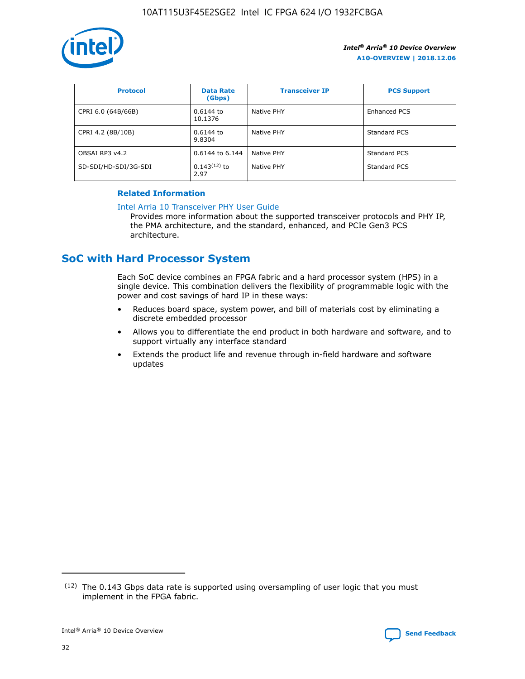

| <b>Protocol</b>      | <b>Data Rate</b><br>(Gbps) | <b>Transceiver IP</b> | <b>PCS Support</b> |
|----------------------|----------------------------|-----------------------|--------------------|
| CPRI 6.0 (64B/66B)   | 0.6144 to<br>10.1376       | Native PHY            | Enhanced PCS       |
| CPRI 4.2 (8B/10B)    | 0.6144 to<br>9.8304        | Native PHY            | Standard PCS       |
| OBSAI RP3 v4.2       | 0.6144 to 6.144            | Native PHY            | Standard PCS       |
| SD-SDI/HD-SDI/3G-SDI | $0.143(12)$ to<br>2.97     | Native PHY            | Standard PCS       |

## **Related Information**

#### [Intel Arria 10 Transceiver PHY User Guide](https://www.intel.com/content/www/us/en/programmable/documentation/nik1398707230472.html#nik1398707091164)

Provides more information about the supported transceiver protocols and PHY IP, the PMA architecture, and the standard, enhanced, and PCIe Gen3 PCS architecture.

# **SoC with Hard Processor System**

Each SoC device combines an FPGA fabric and a hard processor system (HPS) in a single device. This combination delivers the flexibility of programmable logic with the power and cost savings of hard IP in these ways:

- Reduces board space, system power, and bill of materials cost by eliminating a discrete embedded processor
- Allows you to differentiate the end product in both hardware and software, and to support virtually any interface standard
- Extends the product life and revenue through in-field hardware and software updates

 $(12)$  The 0.143 Gbps data rate is supported using oversampling of user logic that you must implement in the FPGA fabric.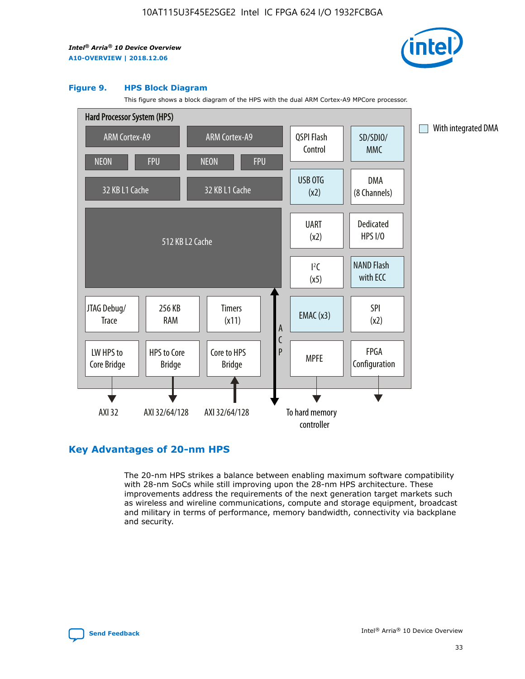

#### **Figure 9. HPS Block Diagram**

This figure shows a block diagram of the HPS with the dual ARM Cortex-A9 MPCore processor.



## **Key Advantages of 20-nm HPS**

The 20-nm HPS strikes a balance between enabling maximum software compatibility with 28-nm SoCs while still improving upon the 28-nm HPS architecture. These improvements address the requirements of the next generation target markets such as wireless and wireline communications, compute and storage equipment, broadcast and military in terms of performance, memory bandwidth, connectivity via backplane and security.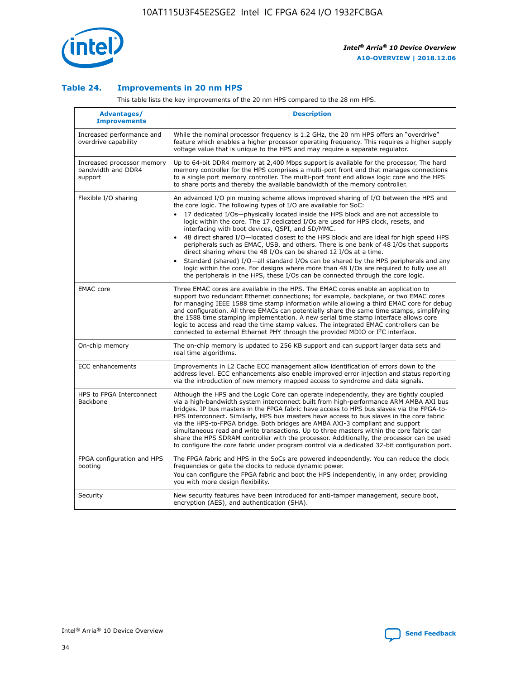

## **Table 24. Improvements in 20 nm HPS**

This table lists the key improvements of the 20 nm HPS compared to the 28 nm HPS.

| Advantages/<br><b>Improvements</b>                          | <b>Description</b>                                                                                                                                                                                                                                                                                                                                                                                                                                                                                                                                                                                                                                                                                                                                                                                                                                                                                                                   |
|-------------------------------------------------------------|--------------------------------------------------------------------------------------------------------------------------------------------------------------------------------------------------------------------------------------------------------------------------------------------------------------------------------------------------------------------------------------------------------------------------------------------------------------------------------------------------------------------------------------------------------------------------------------------------------------------------------------------------------------------------------------------------------------------------------------------------------------------------------------------------------------------------------------------------------------------------------------------------------------------------------------|
| Increased performance and<br>overdrive capability           | While the nominal processor frequency is 1.2 GHz, the 20 nm HPS offers an "overdrive"<br>feature which enables a higher processor operating frequency. This requires a higher supply<br>voltage value that is unique to the HPS and may require a separate regulator.                                                                                                                                                                                                                                                                                                                                                                                                                                                                                                                                                                                                                                                                |
| Increased processor memory<br>bandwidth and DDR4<br>support | Up to 64-bit DDR4 memory at 2,400 Mbps support is available for the processor. The hard<br>memory controller for the HPS comprises a multi-port front end that manages connections<br>to a single port memory controller. The multi-port front end allows logic core and the HPS<br>to share ports and thereby the available bandwidth of the memory controller.                                                                                                                                                                                                                                                                                                                                                                                                                                                                                                                                                                     |
| Flexible I/O sharing                                        | An advanced I/O pin muxing scheme allows improved sharing of I/O between the HPS and<br>the core logic. The following types of I/O are available for SoC:<br>17 dedicated I/Os-physically located inside the HPS block and are not accessible to<br>logic within the core. The 17 dedicated I/Os are used for HPS clock, resets, and<br>interfacing with boot devices, QSPI, and SD/MMC.<br>48 direct shared I/O-located closest to the HPS block and are ideal for high speed HPS<br>$\bullet$<br>peripherals such as EMAC, USB, and others. There is one bank of 48 I/Os that supports<br>direct sharing where the 48 I/Os can be shared 12 I/Os at a time.<br>Standard (shared) I/O-all standard I/Os can be shared by the HPS peripherals and any<br>logic within the core. For designs where more than 48 I/Os are reguired to fully use all<br>the peripherals in the HPS, these I/Os can be connected through the core logic. |
| <b>EMAC</b> core                                            | Three EMAC cores are available in the HPS. The EMAC cores enable an application to<br>support two redundant Ethernet connections; for example, backplane, or two EMAC cores<br>for managing IEEE 1588 time stamp information while allowing a third EMAC core for debug<br>and configuration. All three EMACs can potentially share the same time stamps, simplifying<br>the 1588 time stamping implementation. A new serial time stamp interface allows core<br>logic to access and read the time stamp values. The integrated EMAC controllers can be<br>connected to external Ethernet PHY through the provided MDIO or I <sup>2</sup> C interface.                                                                                                                                                                                                                                                                               |
| On-chip memory                                              | The on-chip memory is updated to 256 KB support and can support larger data sets and<br>real time algorithms.                                                                                                                                                                                                                                                                                                                                                                                                                                                                                                                                                                                                                                                                                                                                                                                                                        |
| <b>ECC</b> enhancements                                     | Improvements in L2 Cache ECC management allow identification of errors down to the<br>address level. ECC enhancements also enable improved error injection and status reporting<br>via the introduction of new memory mapped access to syndrome and data signals.                                                                                                                                                                                                                                                                                                                                                                                                                                                                                                                                                                                                                                                                    |
| HPS to FPGA Interconnect<br>Backbone                        | Although the HPS and the Logic Core can operate independently, they are tightly coupled<br>via a high-bandwidth system interconnect built from high-performance ARM AMBA AXI bus<br>bridges. IP bus masters in the FPGA fabric have access to HPS bus slaves via the FPGA-to-<br>HPS interconnect. Similarly, HPS bus masters have access to bus slaves in the core fabric<br>via the HPS-to-FPGA bridge. Both bridges are AMBA AXI-3 compliant and support<br>simultaneous read and write transactions. Up to three masters within the core fabric can<br>share the HPS SDRAM controller with the processor. Additionally, the processor can be used<br>to configure the core fabric under program control via a dedicated 32-bit configuration port.                                                                                                                                                                               |
| FPGA configuration and HPS<br>booting                       | The FPGA fabric and HPS in the SoCs are powered independently. You can reduce the clock<br>frequencies or gate the clocks to reduce dynamic power.<br>You can configure the FPGA fabric and boot the HPS independently, in any order, providing<br>you with more design flexibility.                                                                                                                                                                                                                                                                                                                                                                                                                                                                                                                                                                                                                                                 |
| Security                                                    | New security features have been introduced for anti-tamper management, secure boot,<br>encryption (AES), and authentication (SHA).                                                                                                                                                                                                                                                                                                                                                                                                                                                                                                                                                                                                                                                                                                                                                                                                   |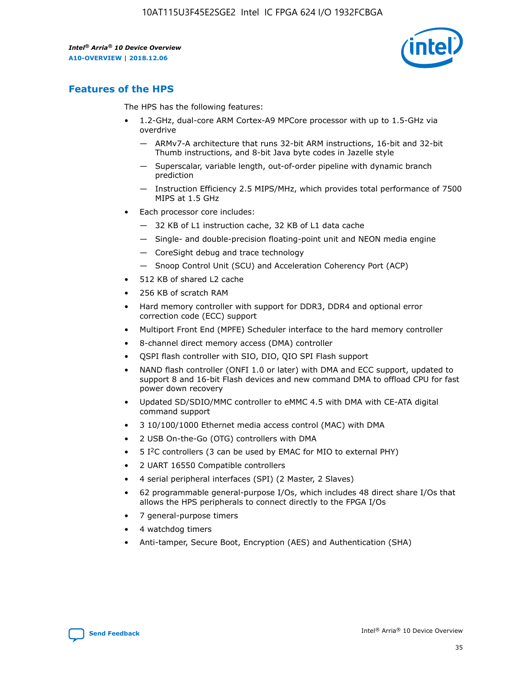

# **Features of the HPS**

The HPS has the following features:

- 1.2-GHz, dual-core ARM Cortex-A9 MPCore processor with up to 1.5-GHz via overdrive
	- ARMv7-A architecture that runs 32-bit ARM instructions, 16-bit and 32-bit Thumb instructions, and 8-bit Java byte codes in Jazelle style
	- Superscalar, variable length, out-of-order pipeline with dynamic branch prediction
	- Instruction Efficiency 2.5 MIPS/MHz, which provides total performance of 7500 MIPS at 1.5 GHz
- Each processor core includes:
	- 32 KB of L1 instruction cache, 32 KB of L1 data cache
	- Single- and double-precision floating-point unit and NEON media engine
	- CoreSight debug and trace technology
	- Snoop Control Unit (SCU) and Acceleration Coherency Port (ACP)
- 512 KB of shared L2 cache
- 256 KB of scratch RAM
- Hard memory controller with support for DDR3, DDR4 and optional error correction code (ECC) support
- Multiport Front End (MPFE) Scheduler interface to the hard memory controller
- 8-channel direct memory access (DMA) controller
- QSPI flash controller with SIO, DIO, QIO SPI Flash support
- NAND flash controller (ONFI 1.0 or later) with DMA and ECC support, updated to support 8 and 16-bit Flash devices and new command DMA to offload CPU for fast power down recovery
- Updated SD/SDIO/MMC controller to eMMC 4.5 with DMA with CE-ATA digital command support
- 3 10/100/1000 Ethernet media access control (MAC) with DMA
- 2 USB On-the-Go (OTG) controllers with DMA
- $\bullet$  5 I<sup>2</sup>C controllers (3 can be used by EMAC for MIO to external PHY)
- 2 UART 16550 Compatible controllers
- 4 serial peripheral interfaces (SPI) (2 Master, 2 Slaves)
- 62 programmable general-purpose I/Os, which includes 48 direct share I/Os that allows the HPS peripherals to connect directly to the FPGA I/Os
- 7 general-purpose timers
- 4 watchdog timers
- Anti-tamper, Secure Boot, Encryption (AES) and Authentication (SHA)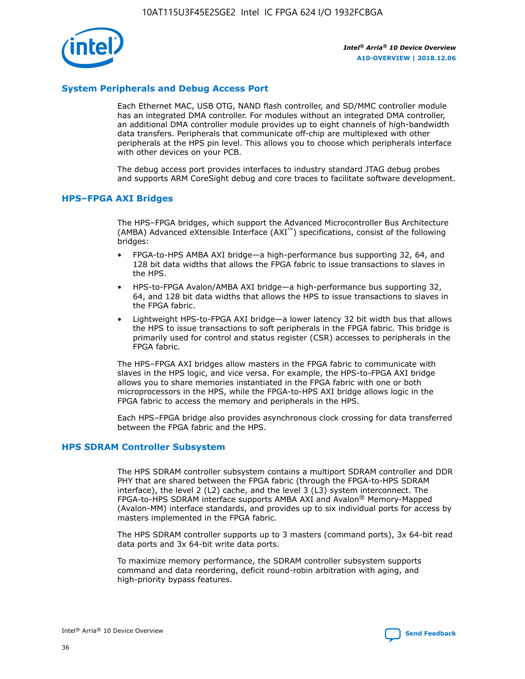

## **System Peripherals and Debug Access Port**

Each Ethernet MAC, USB OTG, NAND flash controller, and SD/MMC controller module has an integrated DMA controller. For modules without an integrated DMA controller, an additional DMA controller module provides up to eight channels of high-bandwidth data transfers. Peripherals that communicate off-chip are multiplexed with other peripherals at the HPS pin level. This allows you to choose which peripherals interface with other devices on your PCB.

The debug access port provides interfaces to industry standard JTAG debug probes and supports ARM CoreSight debug and core traces to facilitate software development.

## **HPS–FPGA AXI Bridges**

The HPS–FPGA bridges, which support the Advanced Microcontroller Bus Architecture (AMBA) Advanced eXtensible Interface (AXI™) specifications, consist of the following bridges:

- FPGA-to-HPS AMBA AXI bridge—a high-performance bus supporting 32, 64, and 128 bit data widths that allows the FPGA fabric to issue transactions to slaves in the HPS.
- HPS-to-FPGA Avalon/AMBA AXI bridge—a high-performance bus supporting 32, 64, and 128 bit data widths that allows the HPS to issue transactions to slaves in the FPGA fabric.
- Lightweight HPS-to-FPGA AXI bridge—a lower latency 32 bit width bus that allows the HPS to issue transactions to soft peripherals in the FPGA fabric. This bridge is primarily used for control and status register (CSR) accesses to peripherals in the FPGA fabric.

The HPS–FPGA AXI bridges allow masters in the FPGA fabric to communicate with slaves in the HPS logic, and vice versa. For example, the HPS-to-FPGA AXI bridge allows you to share memories instantiated in the FPGA fabric with one or both microprocessors in the HPS, while the FPGA-to-HPS AXI bridge allows logic in the FPGA fabric to access the memory and peripherals in the HPS.

Each HPS–FPGA bridge also provides asynchronous clock crossing for data transferred between the FPGA fabric and the HPS.

#### **HPS SDRAM Controller Subsystem**

The HPS SDRAM controller subsystem contains a multiport SDRAM controller and DDR PHY that are shared between the FPGA fabric (through the FPGA-to-HPS SDRAM interface), the level 2 (L2) cache, and the level 3 (L3) system interconnect. The FPGA-to-HPS SDRAM interface supports AMBA AXI and Avalon® Memory-Mapped (Avalon-MM) interface standards, and provides up to six individual ports for access by masters implemented in the FPGA fabric.

The HPS SDRAM controller supports up to 3 masters (command ports), 3x 64-bit read data ports and 3x 64-bit write data ports.

To maximize memory performance, the SDRAM controller subsystem supports command and data reordering, deficit round-robin arbitration with aging, and high-priority bypass features.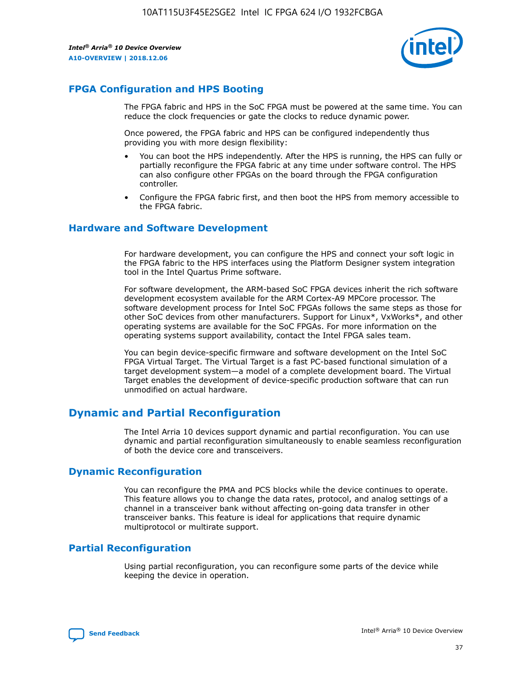

## **FPGA Configuration and HPS Booting**

The FPGA fabric and HPS in the SoC FPGA must be powered at the same time. You can reduce the clock frequencies or gate the clocks to reduce dynamic power.

Once powered, the FPGA fabric and HPS can be configured independently thus providing you with more design flexibility:

- You can boot the HPS independently. After the HPS is running, the HPS can fully or partially reconfigure the FPGA fabric at any time under software control. The HPS can also configure other FPGAs on the board through the FPGA configuration controller.
- Configure the FPGA fabric first, and then boot the HPS from memory accessible to the FPGA fabric.

## **Hardware and Software Development**

For hardware development, you can configure the HPS and connect your soft logic in the FPGA fabric to the HPS interfaces using the Platform Designer system integration tool in the Intel Quartus Prime software.

For software development, the ARM-based SoC FPGA devices inherit the rich software development ecosystem available for the ARM Cortex-A9 MPCore processor. The software development process for Intel SoC FPGAs follows the same steps as those for other SoC devices from other manufacturers. Support for Linux\*, VxWorks\*, and other operating systems are available for the SoC FPGAs. For more information on the operating systems support availability, contact the Intel FPGA sales team.

You can begin device-specific firmware and software development on the Intel SoC FPGA Virtual Target. The Virtual Target is a fast PC-based functional simulation of a target development system—a model of a complete development board. The Virtual Target enables the development of device-specific production software that can run unmodified on actual hardware.

## **Dynamic and Partial Reconfiguration**

The Intel Arria 10 devices support dynamic and partial reconfiguration. You can use dynamic and partial reconfiguration simultaneously to enable seamless reconfiguration of both the device core and transceivers.

## **Dynamic Reconfiguration**

You can reconfigure the PMA and PCS blocks while the device continues to operate. This feature allows you to change the data rates, protocol, and analog settings of a channel in a transceiver bank without affecting on-going data transfer in other transceiver banks. This feature is ideal for applications that require dynamic multiprotocol or multirate support.

## **Partial Reconfiguration**

Using partial reconfiguration, you can reconfigure some parts of the device while keeping the device in operation.

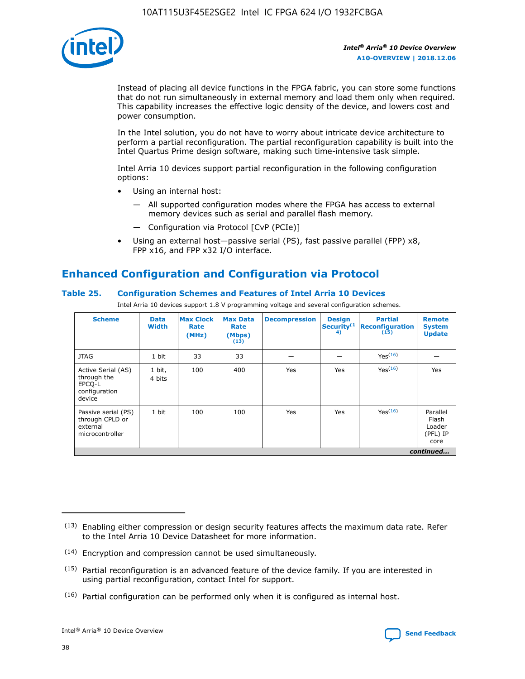

Instead of placing all device functions in the FPGA fabric, you can store some functions that do not run simultaneously in external memory and load them only when required. This capability increases the effective logic density of the device, and lowers cost and power consumption.

In the Intel solution, you do not have to worry about intricate device architecture to perform a partial reconfiguration. The partial reconfiguration capability is built into the Intel Quartus Prime design software, making such time-intensive task simple.

Intel Arria 10 devices support partial reconfiguration in the following configuration options:

- Using an internal host:
	- All supported configuration modes where the FPGA has access to external memory devices such as serial and parallel flash memory.
	- Configuration via Protocol [CvP (PCIe)]
- Using an external host—passive serial (PS), fast passive parallel (FPP) x8, FPP x16, and FPP x32 I/O interface.

# **Enhanced Configuration and Configuration via Protocol**

## **Table 25. Configuration Schemes and Features of Intel Arria 10 Devices**

Intel Arria 10 devices support 1.8 V programming voltage and several configuration schemes.

| <b>Scheme</b>                                                          | <b>Data</b><br><b>Width</b> | <b>Max Clock</b><br>Rate<br>(MHz) | <b>Max Data</b><br>Rate<br>(Mbps)<br>(13) | <b>Decompression</b> | <b>Design</b><br>Security <sup>(1</sup><br>4) | <b>Partial</b><br><b>Reconfiguration</b><br>(15) | <b>Remote</b><br><b>System</b><br><b>Update</b> |
|------------------------------------------------------------------------|-----------------------------|-----------------------------------|-------------------------------------------|----------------------|-----------------------------------------------|--------------------------------------------------|-------------------------------------------------|
| <b>JTAG</b>                                                            | 1 bit                       | 33                                | 33                                        |                      |                                               | Yes(16)                                          |                                                 |
| Active Serial (AS)<br>through the<br>EPCO-L<br>configuration<br>device | 1 bit,<br>4 bits            | 100                               | 400                                       | Yes                  | Yes                                           | $Y_{PS}(16)$                                     | Yes                                             |
| Passive serial (PS)<br>through CPLD or<br>external<br>microcontroller  | 1 bit                       | 100                               | 100                                       | Yes                  | Yes                                           | Yes(16)                                          | Parallel<br>Flash<br>Loader<br>(PFL) IP<br>core |
|                                                                        |                             |                                   |                                           |                      |                                               |                                                  | continued                                       |

<sup>(13)</sup> Enabling either compression or design security features affects the maximum data rate. Refer to the Intel Arria 10 Device Datasheet for more information.

<sup>(14)</sup> Encryption and compression cannot be used simultaneously.

 $(15)$  Partial reconfiguration is an advanced feature of the device family. If you are interested in using partial reconfiguration, contact Intel for support.

 $(16)$  Partial configuration can be performed only when it is configured as internal host.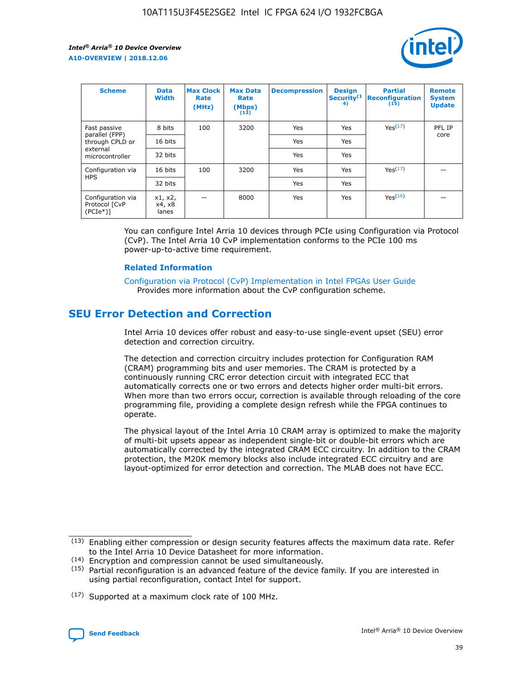

| <b>Scheme</b>                                   | <b>Data</b><br><b>Width</b> | <b>Max Clock</b><br>Rate<br>(MHz) | <b>Max Data</b><br>Rate<br>(Mbps)<br>(13) | <b>Decompression</b> | <b>Design</b><br>Security <sup>(1</sup><br>4) | <b>Partial</b><br><b>Reconfiguration</b><br>(15) | <b>Remote</b><br><b>System</b><br><b>Update</b> |
|-------------------------------------------------|-----------------------------|-----------------------------------|-------------------------------------------|----------------------|-----------------------------------------------|--------------------------------------------------|-------------------------------------------------|
| Fast passive                                    | 8 bits                      | 100                               | 3200                                      | Yes                  | Yes                                           | Yes(17)                                          | PFL IP                                          |
| parallel (FPP)<br>through CPLD or               | 16 bits                     |                                   |                                           | Yes                  | Yes                                           |                                                  | core                                            |
| external<br>microcontroller                     | 32 bits                     |                                   |                                           | Yes                  | Yes                                           |                                                  |                                                 |
| Configuration via                               | 16 bits                     | 100                               | 3200                                      | Yes                  | Yes                                           | Yes <sup>(17)</sup>                              |                                                 |
| <b>HPS</b>                                      | 32 bits                     |                                   |                                           | Yes                  | Yes                                           |                                                  |                                                 |
| Configuration via<br>Protocol [CvP<br>$(PCIe*)$ | x1, x2,<br>x4, x8<br>lanes  |                                   | 8000                                      | Yes                  | Yes                                           | Yes(16)                                          |                                                 |

You can configure Intel Arria 10 devices through PCIe using Configuration via Protocol (CvP). The Intel Arria 10 CvP implementation conforms to the PCIe 100 ms power-up-to-active time requirement.

#### **Related Information**

[Configuration via Protocol \(CvP\) Implementation in Intel FPGAs User Guide](https://www.intel.com/content/www/us/en/programmable/documentation/dsu1441819344145.html#dsu1442269728522) Provides more information about the CvP configuration scheme.

# **SEU Error Detection and Correction**

Intel Arria 10 devices offer robust and easy-to-use single-event upset (SEU) error detection and correction circuitry.

The detection and correction circuitry includes protection for Configuration RAM (CRAM) programming bits and user memories. The CRAM is protected by a continuously running CRC error detection circuit with integrated ECC that automatically corrects one or two errors and detects higher order multi-bit errors. When more than two errors occur, correction is available through reloading of the core programming file, providing a complete design refresh while the FPGA continues to operate.

The physical layout of the Intel Arria 10 CRAM array is optimized to make the majority of multi-bit upsets appear as independent single-bit or double-bit errors which are automatically corrected by the integrated CRAM ECC circuitry. In addition to the CRAM protection, the M20K memory blocks also include integrated ECC circuitry and are layout-optimized for error detection and correction. The MLAB does not have ECC.

<sup>(17)</sup> Supported at a maximum clock rate of 100 MHz.



 $(13)$  Enabling either compression or design security features affects the maximum data rate. Refer to the Intel Arria 10 Device Datasheet for more information.

<sup>(14)</sup> Encryption and compression cannot be used simultaneously.

 $(15)$  Partial reconfiguration is an advanced feature of the device family. If you are interested in using partial reconfiguration, contact Intel for support.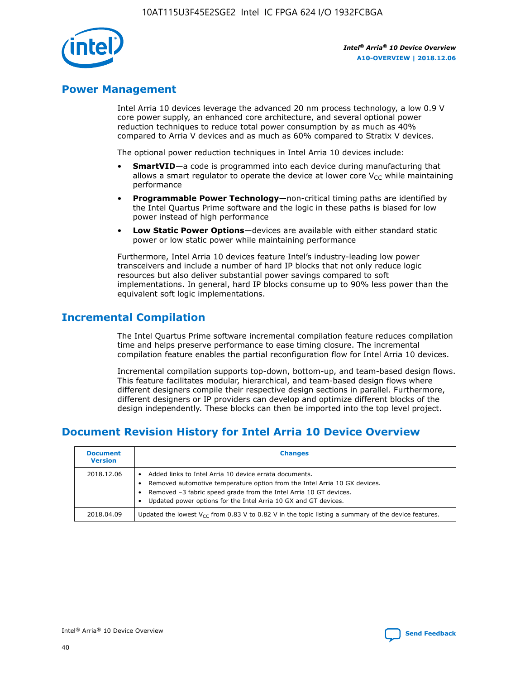

## **Power Management**

Intel Arria 10 devices leverage the advanced 20 nm process technology, a low 0.9 V core power supply, an enhanced core architecture, and several optional power reduction techniques to reduce total power consumption by as much as 40% compared to Arria V devices and as much as 60% compared to Stratix V devices.

The optional power reduction techniques in Intel Arria 10 devices include:

- **SmartVID**—a code is programmed into each device during manufacturing that allows a smart regulator to operate the device at lower core  $V_{CC}$  while maintaining performance
- **Programmable Power Technology**—non-critical timing paths are identified by the Intel Quartus Prime software and the logic in these paths is biased for low power instead of high performance
- **Low Static Power Options**—devices are available with either standard static power or low static power while maintaining performance

Furthermore, Intel Arria 10 devices feature Intel's industry-leading low power transceivers and include a number of hard IP blocks that not only reduce logic resources but also deliver substantial power savings compared to soft implementations. In general, hard IP blocks consume up to 90% less power than the equivalent soft logic implementations.

# **Incremental Compilation**

The Intel Quartus Prime software incremental compilation feature reduces compilation time and helps preserve performance to ease timing closure. The incremental compilation feature enables the partial reconfiguration flow for Intel Arria 10 devices.

Incremental compilation supports top-down, bottom-up, and team-based design flows. This feature facilitates modular, hierarchical, and team-based design flows where different designers compile their respective design sections in parallel. Furthermore, different designers or IP providers can develop and optimize different blocks of the design independently. These blocks can then be imported into the top level project.

# **Document Revision History for Intel Arria 10 Device Overview**

| <b>Document</b><br><b>Version</b> | <b>Changes</b>                                                                                                                                                                                                                                                              |
|-----------------------------------|-----------------------------------------------------------------------------------------------------------------------------------------------------------------------------------------------------------------------------------------------------------------------------|
| 2018.12.06                        | Added links to Intel Arria 10 device errata documents.<br>Removed automotive temperature option from the Intel Arria 10 GX devices.<br>Removed -3 fabric speed grade from the Intel Arria 10 GT devices.<br>Updated power options for the Intel Arria 10 GX and GT devices. |
| 2018.04.09                        | Updated the lowest $V_{CC}$ from 0.83 V to 0.82 V in the topic listing a summary of the device features.                                                                                                                                                                    |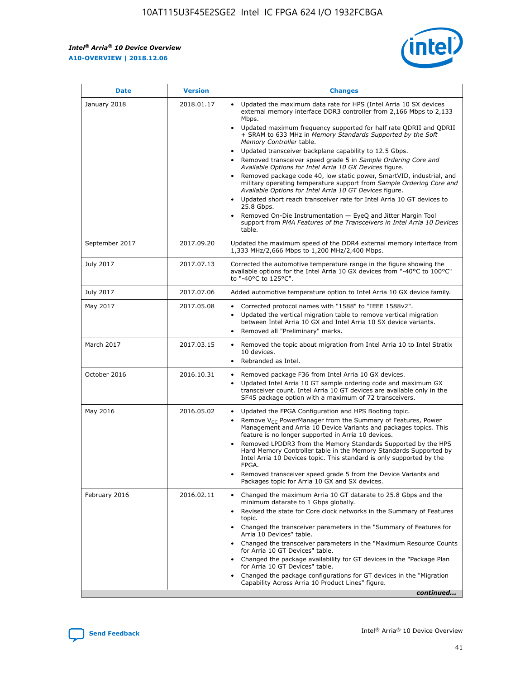*Intel® Arria® 10 Device Overview* **A10-OVERVIEW | 2018.12.06**



| <b>Date</b>    | <b>Version</b> | <b>Changes</b>                                                                                                                                                                                                                                                                                                                                                                                                                                                                                                                                                                                                                                                                                                                                                                                                                                                                                                                                                            |
|----------------|----------------|---------------------------------------------------------------------------------------------------------------------------------------------------------------------------------------------------------------------------------------------------------------------------------------------------------------------------------------------------------------------------------------------------------------------------------------------------------------------------------------------------------------------------------------------------------------------------------------------------------------------------------------------------------------------------------------------------------------------------------------------------------------------------------------------------------------------------------------------------------------------------------------------------------------------------------------------------------------------------|
| January 2018   | 2018.01.17     | Updated the maximum data rate for HPS (Intel Arria 10 SX devices<br>external memory interface DDR3 controller from 2,166 Mbps to 2,133<br>Mbps.<br>Updated maximum frequency supported for half rate QDRII and QDRII<br>+ SRAM to 633 MHz in Memory Standards Supported by the Soft<br>Memory Controller table.<br>Updated transceiver backplane capability to 12.5 Gbps.<br>$\bullet$<br>Removed transceiver speed grade 5 in Sample Ordering Core and<br>Available Options for Intel Arria 10 GX Devices figure.<br>Removed package code 40, low static power, SmartVID, industrial, and<br>military operating temperature support from Sample Ordering Core and<br>Available Options for Intel Arria 10 GT Devices figure.<br>Updated short reach transceiver rate for Intel Arria 10 GT devices to<br>25.8 Gbps.<br>Removed On-Die Instrumentation - EyeQ and Jitter Margin Tool<br>support from PMA Features of the Transceivers in Intel Arria 10 Devices<br>table. |
| September 2017 | 2017.09.20     | Updated the maximum speed of the DDR4 external memory interface from<br>1,333 MHz/2,666 Mbps to 1,200 MHz/2,400 Mbps.                                                                                                                                                                                                                                                                                                                                                                                                                                                                                                                                                                                                                                                                                                                                                                                                                                                     |
| July 2017      | 2017.07.13     | Corrected the automotive temperature range in the figure showing the<br>available options for the Intel Arria 10 GX devices from "-40°C to 100°C"<br>to "-40°C to 125°C".                                                                                                                                                                                                                                                                                                                                                                                                                                                                                                                                                                                                                                                                                                                                                                                                 |
| July 2017      | 2017.07.06     | Added automotive temperature option to Intel Arria 10 GX device family.                                                                                                                                                                                                                                                                                                                                                                                                                                                                                                                                                                                                                                                                                                                                                                                                                                                                                                   |
| May 2017       | 2017.05.08     | Corrected protocol names with "1588" to "IEEE 1588v2".<br>$\bullet$<br>Updated the vertical migration table to remove vertical migration<br>$\bullet$<br>between Intel Arria 10 GX and Intel Arria 10 SX device variants.<br>Removed all "Preliminary" marks.<br>$\bullet$                                                                                                                                                                                                                                                                                                                                                                                                                                                                                                                                                                                                                                                                                                |
| March 2017     | 2017.03.15     | Removed the topic about migration from Intel Arria 10 to Intel Stratix<br>10 devices.<br>Rebranded as Intel.<br>$\bullet$                                                                                                                                                                                                                                                                                                                                                                                                                                                                                                                                                                                                                                                                                                                                                                                                                                                 |
| October 2016   | 2016.10.31     | Removed package F36 from Intel Arria 10 GX devices.<br>Updated Intel Arria 10 GT sample ordering code and maximum GX<br>$\bullet$<br>transceiver count. Intel Arria 10 GT devices are available only in the<br>SF45 package option with a maximum of 72 transceivers.                                                                                                                                                                                                                                                                                                                                                                                                                                                                                                                                                                                                                                                                                                     |
| May 2016       | 2016.05.02     | Updated the FPGA Configuration and HPS Booting topic.<br>$\bullet$<br>Remove V <sub>CC</sub> PowerManager from the Summary of Features, Power<br>Management and Arria 10 Device Variants and packages topics. This<br>feature is no longer supported in Arria 10 devices.<br>Removed LPDDR3 from the Memory Standards Supported by the HPS<br>Hard Memory Controller table in the Memory Standards Supported by<br>Intel Arria 10 Devices topic. This standard is only supported by the<br>FPGA.<br>Removed transceiver speed grade 5 from the Device Variants and<br>Packages topic for Arria 10 GX and SX devices.                                                                                                                                                                                                                                                                                                                                                      |
| February 2016  | 2016.02.11     | Changed the maximum Arria 10 GT datarate to 25.8 Gbps and the<br>minimum datarate to 1 Gbps globally.<br>Revised the state for Core clock networks in the Summary of Features<br>$\bullet$<br>topic.<br>Changed the transceiver parameters in the "Summary of Features for<br>$\bullet$<br>Arria 10 Devices" table.<br>• Changed the transceiver parameters in the "Maximum Resource Counts<br>for Arria 10 GT Devices" table.<br>Changed the package availability for GT devices in the "Package Plan<br>for Arria 10 GT Devices" table.<br>Changed the package configurations for GT devices in the "Migration"<br>Capability Across Arria 10 Product Lines" figure.<br>continued                                                                                                                                                                                                                                                                                       |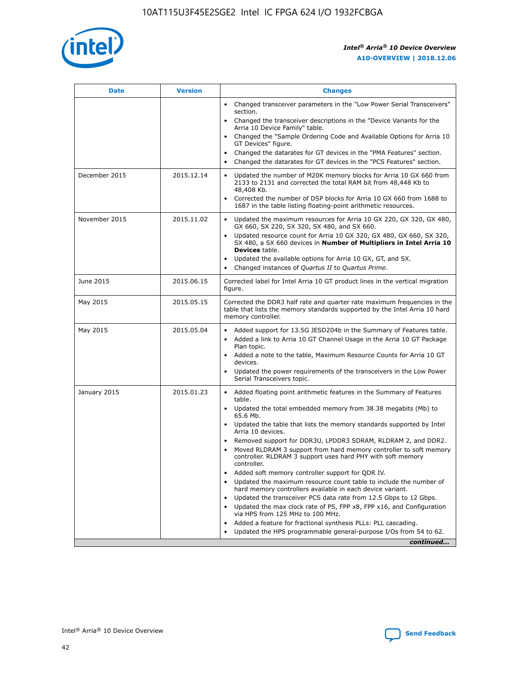

| <b>Date</b>   | <b>Version</b> | <b>Changes</b>                                                                                                                                                               |
|---------------|----------------|------------------------------------------------------------------------------------------------------------------------------------------------------------------------------|
|               |                | • Changed transceiver parameters in the "Low Power Serial Transceivers"<br>section.                                                                                          |
|               |                | • Changed the transceiver descriptions in the "Device Variants for the<br>Arria 10 Device Family" table.                                                                     |
|               |                | Changed the "Sample Ordering Code and Available Options for Arria 10<br>$\bullet$<br>GT Devices" figure.                                                                     |
|               |                | Changed the datarates for GT devices in the "PMA Features" section.                                                                                                          |
|               |                | Changed the datarates for GT devices in the "PCS Features" section.<br>$\bullet$                                                                                             |
| December 2015 | 2015.12.14     | Updated the number of M20K memory blocks for Arria 10 GX 660 from<br>2133 to 2131 and corrected the total RAM bit from 48,448 Kb to<br>48,408 Kb.                            |
|               |                | Corrected the number of DSP blocks for Arria 10 GX 660 from 1688 to<br>1687 in the table listing floating-point arithmetic resources.                                        |
| November 2015 | 2015.11.02     | Updated the maximum resources for Arria 10 GX 220, GX 320, GX 480,<br>$\bullet$<br>GX 660, SX 220, SX 320, SX 480, and SX 660.                                               |
|               |                | • Updated resource count for Arria 10 GX 320, GX 480, GX 660, SX 320,<br>SX 480, a SX 660 devices in Number of Multipliers in Intel Arria 10<br><b>Devices</b> table.        |
|               |                | Updated the available options for Arria 10 GX, GT, and SX.                                                                                                                   |
|               |                | Changed instances of Quartus II to Quartus Prime.<br>$\bullet$                                                                                                               |
| June 2015     | 2015.06.15     | Corrected label for Intel Arria 10 GT product lines in the vertical migration<br>figure.                                                                                     |
| May 2015      | 2015.05.15     | Corrected the DDR3 half rate and quarter rate maximum frequencies in the<br>table that lists the memory standards supported by the Intel Arria 10 hard<br>memory controller. |
| May 2015      | 2015.05.04     | • Added support for 13.5G JESD204b in the Summary of Features table.                                                                                                         |
|               |                | • Added a link to Arria 10 GT Channel Usage in the Arria 10 GT Package<br>Plan topic.                                                                                        |
|               |                | • Added a note to the table, Maximum Resource Counts for Arria 10 GT<br>devices.                                                                                             |
|               |                | • Updated the power requirements of the transceivers in the Low Power<br>Serial Transceivers topic.                                                                          |
| January 2015  | 2015.01.23     | • Added floating point arithmetic features in the Summary of Features<br>table.                                                                                              |
|               |                | • Updated the total embedded memory from 38.38 megabits (Mb) to<br>65.6 Mb.                                                                                                  |
|               |                | • Updated the table that lists the memory standards supported by Intel<br>Arria 10 devices.                                                                                  |
|               |                | Removed support for DDR3U, LPDDR3 SDRAM, RLDRAM 2, and DDR2.                                                                                                                 |
|               |                | Moved RLDRAM 3 support from hard memory controller to soft memory<br>controller. RLDRAM 3 support uses hard PHY with soft memory<br>controller.                              |
|               |                | Added soft memory controller support for QDR IV.<br>٠                                                                                                                        |
|               |                | Updated the maximum resource count table to include the number of<br>hard memory controllers available in each device variant.                                               |
|               |                | Updated the transceiver PCS data rate from 12.5 Gbps to 12 Gbps.<br>$\bullet$                                                                                                |
|               |                | Updated the max clock rate of PS, FPP x8, FPP x16, and Configuration<br>via HPS from 125 MHz to 100 MHz.                                                                     |
|               |                | Added a feature for fractional synthesis PLLs: PLL cascading.                                                                                                                |
|               |                | Updated the HPS programmable general-purpose I/Os from 54 to 62.<br>$\bullet$                                                                                                |
|               |                | continued                                                                                                                                                                    |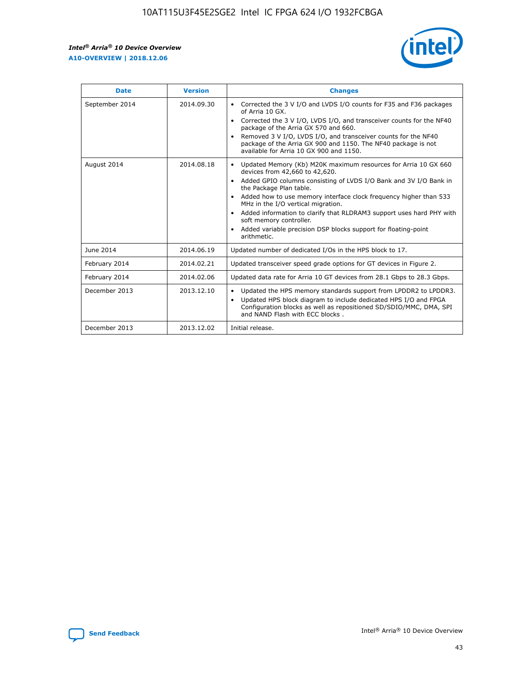

| <b>Date</b>    | <b>Version</b> | <b>Changes</b>                                                                                                                                                                                                                                                                                                                                                                                                                                                                                                                                                   |
|----------------|----------------|------------------------------------------------------------------------------------------------------------------------------------------------------------------------------------------------------------------------------------------------------------------------------------------------------------------------------------------------------------------------------------------------------------------------------------------------------------------------------------------------------------------------------------------------------------------|
| September 2014 | 2014.09.30     | Corrected the 3 V I/O and LVDS I/O counts for F35 and F36 packages<br>$\bullet$<br>of Arria 10 GX.<br>Corrected the 3 V I/O, LVDS I/O, and transceiver counts for the NF40<br>$\bullet$<br>package of the Arria GX 570 and 660.<br>Removed 3 V I/O, LVDS I/O, and transceiver counts for the NF40<br>$\bullet$<br>package of the Arria GX 900 and 1150. The NF40 package is not<br>available for Arria 10 GX 900 and 1150.                                                                                                                                       |
| August 2014    | 2014.08.18     | Updated Memory (Kb) M20K maximum resources for Arria 10 GX 660<br>$\bullet$<br>devices from 42,660 to 42,620.<br>Added GPIO columns consisting of LVDS I/O Bank and 3V I/O Bank in<br>$\bullet$<br>the Package Plan table.<br>Added how to use memory interface clock frequency higher than 533<br>$\bullet$<br>MHz in the I/O vertical migration.<br>Added information to clarify that RLDRAM3 support uses hard PHY with<br>$\bullet$<br>soft memory controller.<br>Added variable precision DSP blocks support for floating-point<br>$\bullet$<br>arithmetic. |
| June 2014      | 2014.06.19     | Updated number of dedicated I/Os in the HPS block to 17.                                                                                                                                                                                                                                                                                                                                                                                                                                                                                                         |
| February 2014  | 2014.02.21     | Updated transceiver speed grade options for GT devices in Figure 2.                                                                                                                                                                                                                                                                                                                                                                                                                                                                                              |
| February 2014  | 2014.02.06     | Updated data rate for Arria 10 GT devices from 28.1 Gbps to 28.3 Gbps.                                                                                                                                                                                                                                                                                                                                                                                                                                                                                           |
| December 2013  | 2013.12.10     | Updated the HPS memory standards support from LPDDR2 to LPDDR3.<br>$\bullet$<br>Updated HPS block diagram to include dedicated HPS I/O and FPGA<br>$\bullet$<br>Configuration blocks as well as repositioned SD/SDIO/MMC, DMA, SPI<br>and NAND Flash with ECC blocks.                                                                                                                                                                                                                                                                                            |
| December 2013  | 2013.12.02     | Initial release.                                                                                                                                                                                                                                                                                                                                                                                                                                                                                                                                                 |